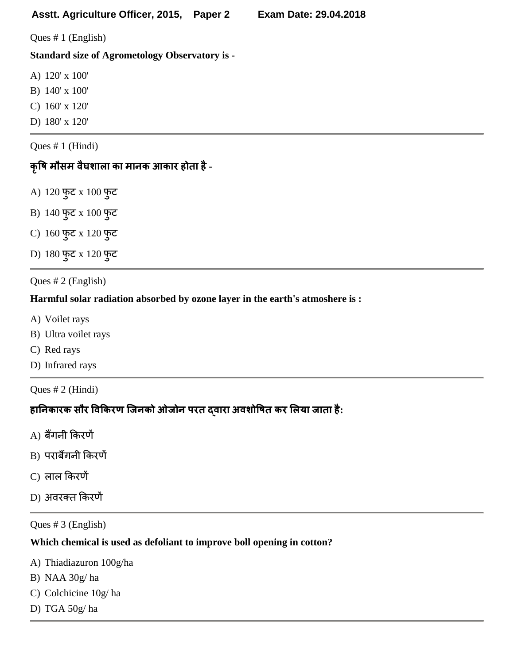### **Asstt. Agriculture Officer, 2015, Paper 2 Exam Date: 29.04.2018**

Ques # 1 (English)

#### **Standard size of Agrometology Observatory is -**

A) 120' x 100'

- B) 140' x 100'
- C) 160' x 120'
- D) 180' x 120'

Ques # 1 (Hindi)

### **कृषष भौसभ वैघशारा का भानक आकाय होता है-**

- A) 120 पुट x 100 पुट
- B) 140 पुट x 100 पुट
- C) 160 पुट x 120 पुट
- D) 180 पुट x 120 पुट

Ques # 2 (English)

#### **Harmful solar radiation absorbed by ozone layer in the earth's atmoshere is :**

- A) Voilet rays
- B) Ultra voilet rays
- C) Red rays
- D) Infrared rays

Ques # 2 (Hindi)

### **हाननकायक सौय षवककयण जजनको ओजोन ऩयत द्वाया अवशोषषत कय लरमा जाता है :**

- A) फगैंनी कियणें
- B) पराबैंगनी किरणें
- C) रार कियणें
- D) अवयक्त कियणें

Ques # 3 (English)

#### **Which chemical is used as defoliant to improve boll opening in cotton?**

- A) Thiadiazuron 100g/ha
- B) NAA 30g/ ha
- C) Colchicine 10g/ ha
- D) TGA 50g/ ha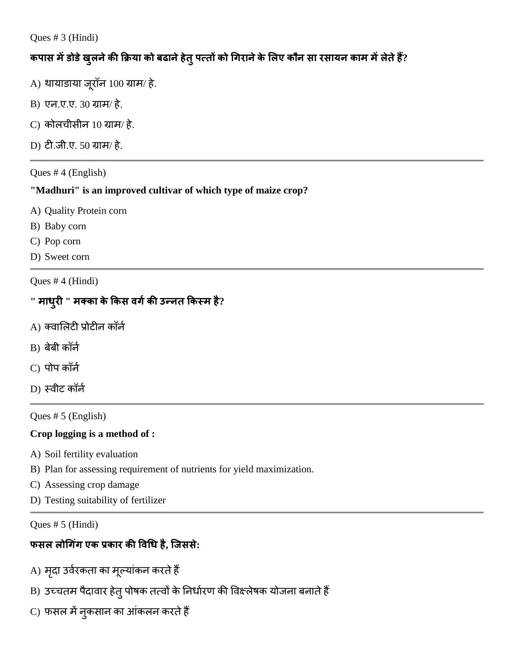Ques # 3 (Hindi)

# **कऩास भेंडोडेखरु नेकी किमा को फढानेहेतुऩत्तों को गगयानेकेलरए कौन सा यसामन काभ भेंरेतेहैं?**

- $A$ ) थायाडाया जूरॉन 100 ग्राम/ हे.
- B) एन.ए.ए. 30 ग्राभ/ हे.
- $C$ ) कोलचीसीन  $10$  ग्राम/ हे.
- D) टी.जी.ए. 50 ग्राभ/ हे.

Ques # 4 (English)

### **"Madhuri" is an improved cultivar of which type of maize crop?**

- A) Quality Protein corn
- B) Baby corn
- C) Pop corn
- D) Sweet corn

Ques # 4 (Hindi)

# **" भाधयुी " भक्का केककस वगगकी उन्नत ककस्भ है?**

- A) क्वालिटी प्रोटीन कॉर्न
- $B)$  बेबी कॉर्न
- $C$ ) पोप कॉर्न
- D) स्वीट कॉर्न

Ques # 5 (English)

### **Crop logging is a method of :**

- A) Soil fertility evaluation
- B) Plan for assessing requirement of nutrients for yield maximization.
- C) Assessing crop damage
- D) Testing suitability of fertilizer

Ques # 5 (Hindi)

# **पसर रोगगगॊ एक प्रकाय की षवगध है, जजससे:**

- A) मृदा उर्वरकता का मूल्यांकन करते हैं
- B) उच्चतम पैदावार हेत् पोषक तत्वों के निर्धारण की विक्ष्लेषक योजना बनाते हैं
- C) फसल में नुकसान का आंकलन करते हैं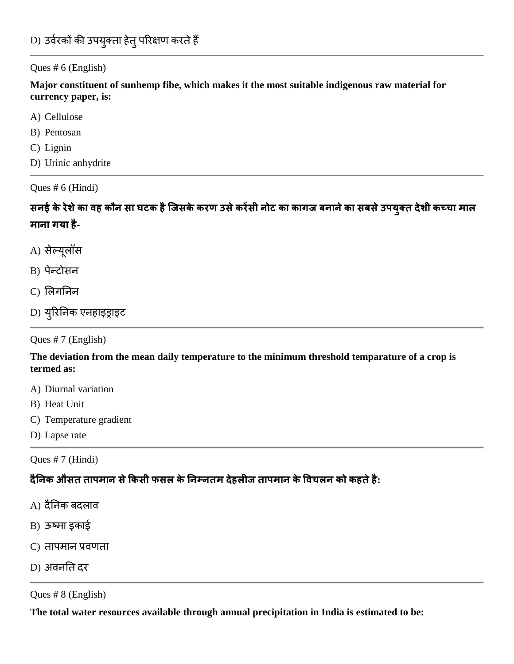# D) उर्वरकों की उपयुक्ता हेतु परिक्षण करते हैं

Ques # 6 (English)

**Major constituent of sunhemp fibe, which makes it the most suitable indigenous raw material for currency paper, is:**

- A) Cellulose
- B) Pentosan
- C) Lignin
- D) Urinic anhydrite

Ques # 6 (Hindi)

**सनई के येशेका वह कौन सा घटक हैजजसकेकयण उसेकयेंसी नोट का कागज फनानेका सफसेउऩमुक्त देशी कच्चा भार भाना गमा है-**

- A) सेलमूरॉस
- B) पेन्टोसन
- C) लरगननन
- D) यूरिनिक एनहाइड्राइट

Ques # 7 (English)

**The deviation from the mean daily temperature to the minimum threshold temparature of a crop is termed as:**

- A) Diurnal variation
- B) Heat Unit
- C) Temperature gradient
- D) Lapse rate

Ques # 7 (Hindi)

### **दैननक औसत ताऩभान सेककसी पसर केननम्नतभ देहरीज ताऩभान केषवचरन को कहतेहै :**

- $\bm{A}$ ) दैनिक बदलाव
- $B$ ) ऊष्मा इकाई
- C) तापमान प्रवणता
- D) अवननत दय

Ques # 8 (English)

**The total water resources available through annual precipitation in India is estimated to be:**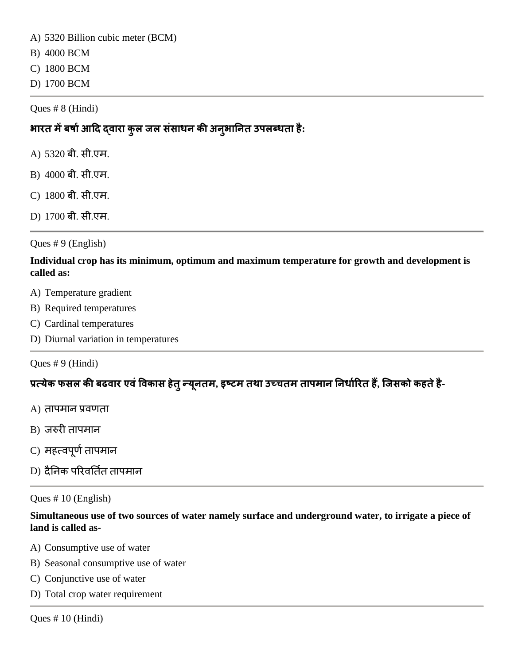A) 5320 Billion cubic meter (BCM)

- B) 4000 BCM
- C) 1800 BCM
- D) 1700 BCM

Ques # 8 (Hindi)

## **बायत भेंफषागआदद द्वाया कुर जर सॊसाधन की अनुबाननत उऩरब्धता है :**

- A) 5320 फी. सी.एभ.
- B) 4000 फी. सी.एभ.
- C) 1800 फी. सी.एभ.
- D) 1700 फी. सी.एभ.

Ques # 9 (English)

#### **Individual crop has its minimum, optimum and maximum temperature for growth and development is called as:**

- A) Temperature gradient
- B) Required temperatures
- C) Cardinal temperatures
- D) Diurnal variation in temperatures

Ques # 9 (Hindi)

# **प्रत्मेक पसर की फढवाय एवॊषवकास हेतुन्मूनतभ, इष्टभ तथा उच्चतभ ताऩभान ननधागरयत हैं, जजसको कहतेहै-**

- A) तापमान प्रवणता
- B) जरुरी तापमान
- C) महत्वपूर्ण तापमान
- D) दैनिक परिवर्तित तापमान

Ques # 10 (English)

#### **Simultaneous use of two sources of water namely surface and underground water, to irrigate a piece of land is called as-**

- A) Consumptive use of water
- B) Seasonal consumptive use of water
- C) Conjunctive use of water
- D) Total crop water requirement

Ques # 10 (Hindi)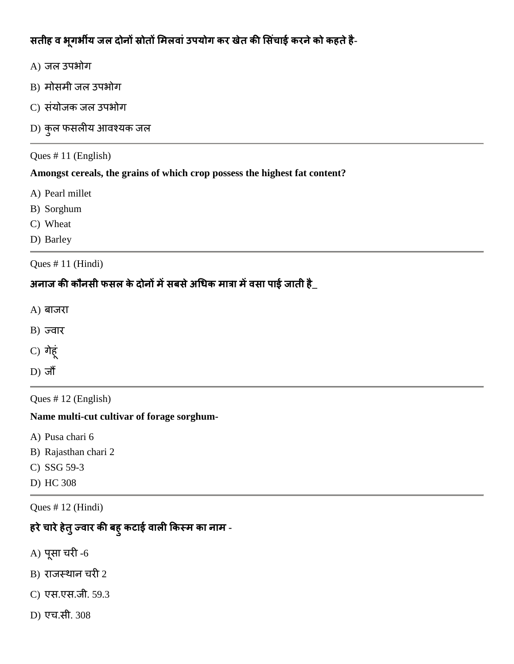# **सतीह व बूगबीम जर दोनों स्रोतों लभरवाॊउऩमोग कय खेत की लसचॊ ाई कयनेको कहतेहै-**

- $A)$  जल उपभोग
- B) मोसमी जल उपभोग
- C) संयोजक जल उपभोग
- D) कुल फसलीय आवश्यक जल

### Ques # 11 (English)

### **Amongst cereals, the grains of which crop possess the highest fat content?**

- A) Pearl millet
- B) Sorghum
- C) Wheat
- D) Barley

### Ques # 11 (Hindi)

# **अनाज की कौनसी पसर केदोनों भेंसफसेअगधक भात्रा भेंवसा ऩाई जाती है\_**

- A) फाजया
- B) ज्वाय
- C) गेहूं
- D) जौं

Ques # 12 (English)

### **Name multi-cut cultivar of forage sorghum-**

- A) Pusa chari 6
- B) Rajasthan chari 2
- C) SSG 59-3
- D) HC 308

Ques # 12 (Hindi)

# **हयेचायेहेतुज्वाय की फहुकटाई वारी ककस्भ का नाभ -**

- $A)$  पूसा चरी -6
- B) याजस्थान चयी 2
- C) एस.एस.जी. 59.3
- D) एच.सी. 308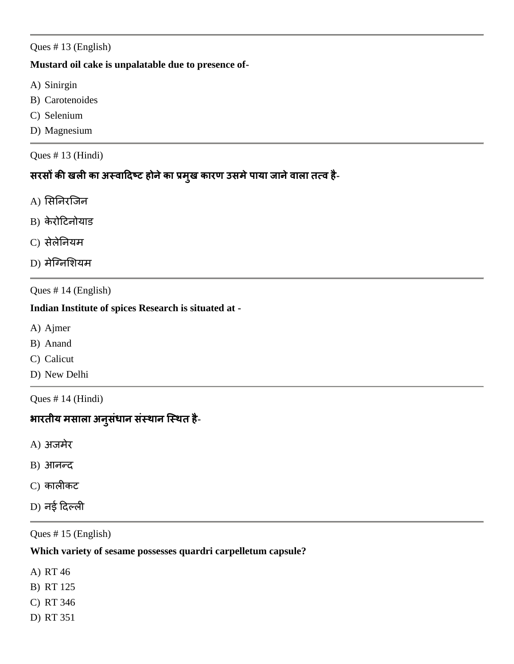### Ques # 13 (English)

#### **Mustard oil cake is unpalatable due to presence of-**

- A) Sinirgin
- B) Carotenoides
- C) Selenium
- D) Magnesium

```
Ques # 13 (Hindi)
```
# **सयसों की खरी का अस्वाददष्ट होनेका प्रभुख कायण उसभेऩामा जानेवारा तत्व है-**

- A) सिनिरजिन
- B) केरोटिनोयाड
- C) सेलेनियम
- D) मेग्निशियम

Ques # 14 (English)

#### **Indian Institute of spices Research is situated at -**

- A) Ajmer
- B) Anand
- C) Calicut
- D) New Delhi

Ques # 14 (Hindi)

# **बायतीम भसारा अनुसॊधान सॊस्थान जस्थत है-**

- A) अजभेय
- B) आनन्द
- C) कालीकट
- D) नई दिल्ली

Ques # 15 (English)

#### **Which variety of sesame possesses quardri carpelletum capsule?**

- A) RT 46
- B) RT 125
- C) RT 346
- D) RT 351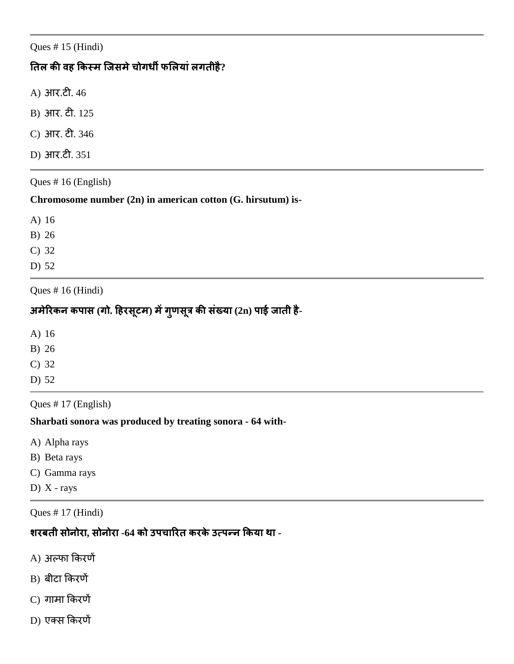#### Ques # 15 (Hindi)

## **नतर की वह ककस्भ जजसभेचोगधी पलरमाॊरगतीहै?**

A) आय.टी. 46

- B) आय. टी. 125
- C) आय. टी. 346
- D) आय.टी. 351

Ques # 16 (English)

#### **Chromosome number (2n) in american cotton (G. hirsutum) is-**

A) 16

B) 26

C) 32

D) 52

Ques # 16 (Hindi)

# **अभेरयकन कऩास (गो. दहयसूटभ) भेंगुणसूत्र की सॊख्मा (2n) ऩाई जाती है-**

A) 16

B) 26

C) 32

D) 52

Ques # 17 (English)

#### **Sharbati sonora was produced by treating sonora - 64 with-**

A) Alpha rays

B) Beta rays

C) Gamma rays

D)  $X$  - rays

Ques # 17 (Hindi)

## **शयफती सोनोया, सोनोया -64 को उऩचारयत कयकेउत्ऩन्न ककमा था -**

- A) अलपा कियणें
- B) फीटा कियणें
- C) गाभा कियणें
- D) एक्स कियणें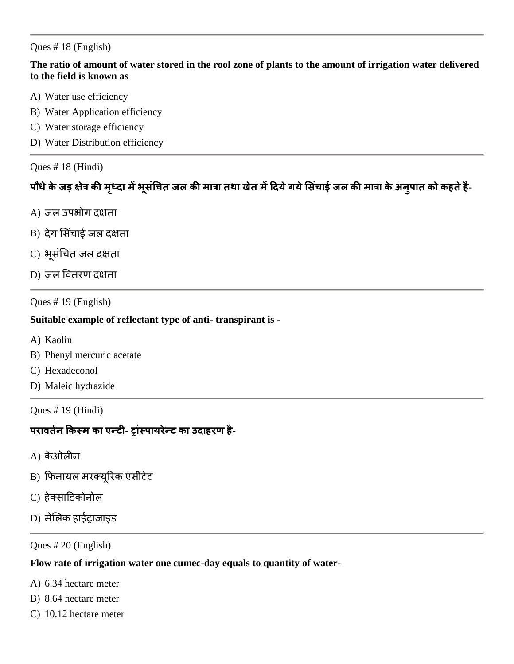#### Ques # 18 (English)

### **The ratio of amount of water stored in the rool zone of plants to the amount of irrigation water delivered to the field is known as**

- A) Water use efficiency
- B) Water Application efficiency
- C) Water storage efficiency
- D) Water Distribution efficiency
- Ques # 18 (Hindi)

# पौधे के जड़ क्षेत्र की मृध्दा में भूसंचित जल की मात्रा तथा खेत में दिये गये सिंचाई जल की मात्रा के अनुपात को कहते है-

- A) जल उपभोग दक्षता
- $B$ ) देय सिंचाई जल दक्षता
- C) भूसंचित जल दक्षता
- D) जल वितरण दक्षता

Ques # 19 (English)

### **Suitable example of reflectant type of anti- transpirant is -**

- A) Kaolin
- B) Phenyl mercuric acetate
- C) Hexadeconol
- D) Maleic hydrazide

Ques # 19 (Hindi)

## **ऩयावतनग ककस्भ का एन्टी- ट्ाॊस्ऩामयेन्ट का उदाहयण है-**

- $A$ ) केओलीन
- B) फिनायल मरक्यूरिक एसीटेट
- C) हेक्साडिकोनोल
- D) मेलिक हाईट्राजाइड

Ques # 20 (English)

#### **Flow rate of irrigation water one cumec-day equals to quantity of water-**

- A) 6.34 hectare meter
- B) 8.64 hectare meter
- C) 10.12 hectare meter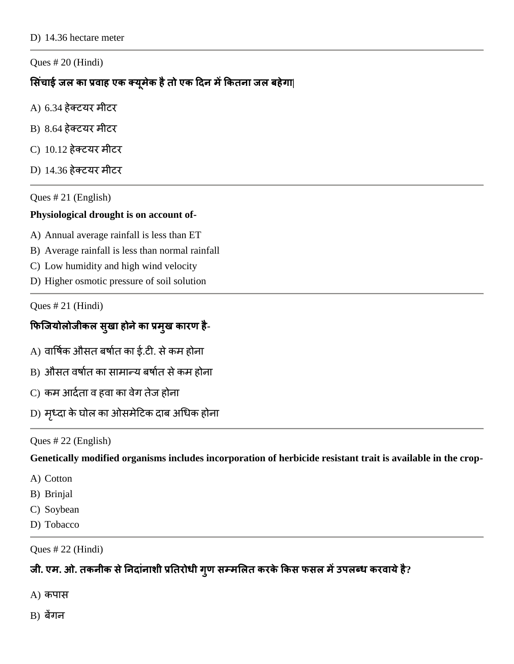Ques # 20 (Hindi)

# **लसचॊ ाई जर का प्रवाह एक क्मूभेक हैतो एक ददन भेंककतना जर फहेगा|**

- A) 6.34 हेक्टमय भीटय
- B) 8.64 हेक्टमय भीटय
- C) 10.12 हेक्टमय भीटय
- D) 14.36 हेक्टमय भीटय

Ques # 21 (English)

### **Physiological drought is on account of-**

- A) Annual average rainfall is less than ET
- B) Average rainfall is less than normal rainfall
- C) Low humidity and high wind velocity
- D) Higher osmotic pressure of soil solution

Ques # 21 (Hindi)

### **कपजजमोरोजीकर सुखा होनेका प्रभुख कायण है-**

- A) वार्षिक औसत बर्षात का ई.टी. से कम होना
- B) औसत वर्षात का सामान्य बर्षात से कम होना
- C) कम आर्दता व हवा का वेग तेज होना
- D) मध्दा के घोल का ओसमेटिक दाब अधिक होना

#### Ques # 22 (English)

**Genetically modified organisms includes incorporation of herbicide resistant trait is available in the crop-**

- A) Cotton
- B) Brinjal
- C) Soybean
- D) Tobacco

Ques # 22 (Hindi)

## **जी. एभ. ओ. तकनीक सेननदाॊनाशी प्रनतयोधी गुण सम्भलरत कयकेककस पसर भेंउऩरब्ध कयवामेहै?**

- $A)$  कपास
- B) फेंगन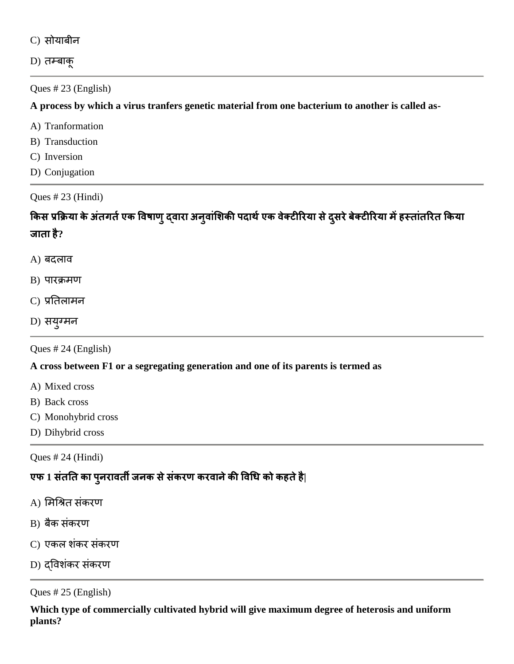C) सोमाफीन

D) तम्बाकू

Ques # 23 (English)

**A process by which a virus tranfers genetic material from one bacterium to another is called as-**

- A) Tranformation
- B) Transduction
- C) Inversion
- D) Conjugation

Ques # 23 (Hindi)

**ककस प्रकिमा केअतॊ गतगएक षवषाणुद्वाया अनुवाॊलशकी ऩदाथगएक वेक्टीरयमा सेदसु येफेक्टीरयमा भेंहस्ताॊतरयत ककमा जाता है?**

- A) फदराव
- $B)$  पारक्रमण
- C) प्रतिलामन
- D) सयुग्मन

Ques # 24 (English)

#### **A cross between F1 or a segregating generation and one of its parents is termed as**

- A) Mixed cross
- B) Back cross
- C) Monohybrid cross
- D) Dihybrid cross

Ques # 24 (Hindi)

# **एप 1 सॊतनत का ऩुनयावती जनक सेसॊकयण कयवानेकी षवगध को कहतेहै|**

- A) मिश्रित संकरण
- B) बैक संकरण
- C) एकल शंकर संकरण
- D) दविशंकर संकरण

Ques # 25 (English)

**Which type of commercially cultivated hybrid will give maximum degree of heterosis and uniform plants?**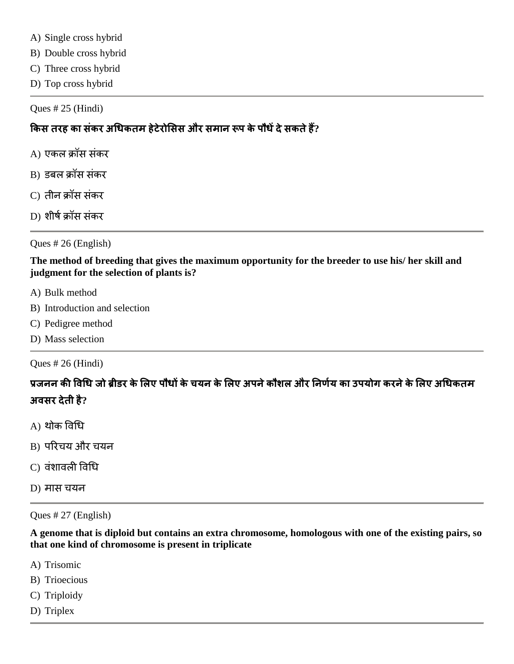- A) Single cross hybrid
- B) Double cross hybrid
- C) Three cross hybrid
- D) Top cross hybrid

Ques # 25 (Hindi)

### **ककस तयह का सॊकय अगधकतभ हेटेयोलसस औय सभान रूऩ केऩौधेंदेसकतेहैं?**

- A) एकल क्रॉस संकर
- B) डबल क्रॉस संकर
- C) तीन क्रॉस संकर
- D) शीर्ष क्रॉस संकर

Ques # 26 (English)

**The method of breeding that gives the maximum opportunity for the breeder to use his/ her skill and judgment for the selection of plants is?**

- A) Bulk method
- B) Introduction and selection
- C) Pedigree method
- D) Mass selection

Ques # 26 (Hindi)

**प्रजनन की षवगध जो ब्रीडय केलरए ऩौधों के चमन केलरए अऩनेकौशर औय ननणमग का उऩमोग कयनेकेलरए अगधकतभ अवसय देती है?**

- $A$ ) थोक विधि
- B) परिचय और चयन
- C) वंशावली विधि
- D) भास चमन

Ques # 27 (English)

**A genome that is diploid but contains an extra chromosome, homologous with one of the existing pairs, so that one kind of chromosome is present in triplicate**

A) Trisomic

- B) Trioecious
- C) Triploidy
- D) Triplex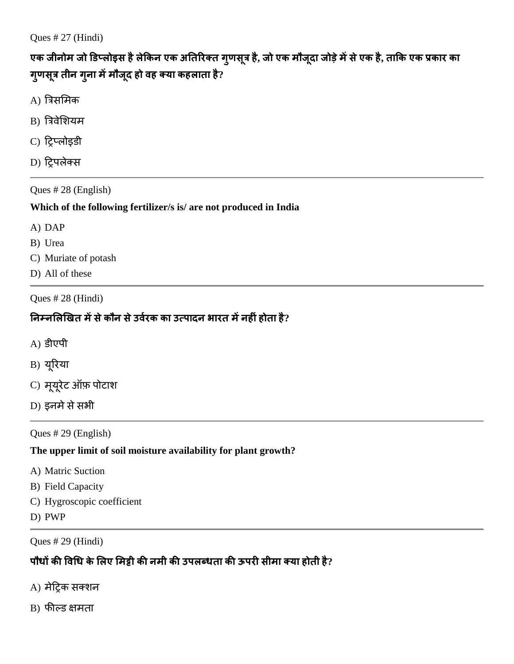Ques # 27 (Hindi)

एक जीनोम जो डिप्लोइस है लेकिन एक अतिरिक्त ग्णसूत्र है, जो एक मौजूदा जोड़े में से एक है, ताकि एक प्रकार का **गुणसूत्र तीन गुना भेंभौजूद हो वह क्मा कहराता है?**

- $A)$  त्रिसमिक
- B) त्रिवेशियम
- C) ट्रिप्लोइडी
- D) ट्रिपलेक्स

Ques # 28 (English)

### **Which of the following fertilizer/s is/ are not produced in India**

- A) DAP
- B) Urea
- C) Muriate of potash
- D) All of these

Ques # 28 (Hindi)

## **ननम्नलरखखत भेंसेकौन सेउवयग क का उत्ऩादन बायत भेंनहीॊहोता है?**

- $A$ ) डीएपी
- B) मूरयमा
- C) मूयूरेट ऑफ़ पोटाश
- D) इनमे से सभी

Ques # 29 (English)

### **The upper limit of soil moisture availability for plant growth?**

- A) Matric Suction
- B) Field Capacity
- C) Hygroscopic coefficient
- D) PWP

#### Ques # 29 (Hindi)

## **ऩौधों की षवगध केलरए लभट्टी की नभी की उऩरब्धता की ऊऩयी सीभा क्मा होती है?**

- A) मेट्रिक सक्शन
- B) फील्ड क्षमता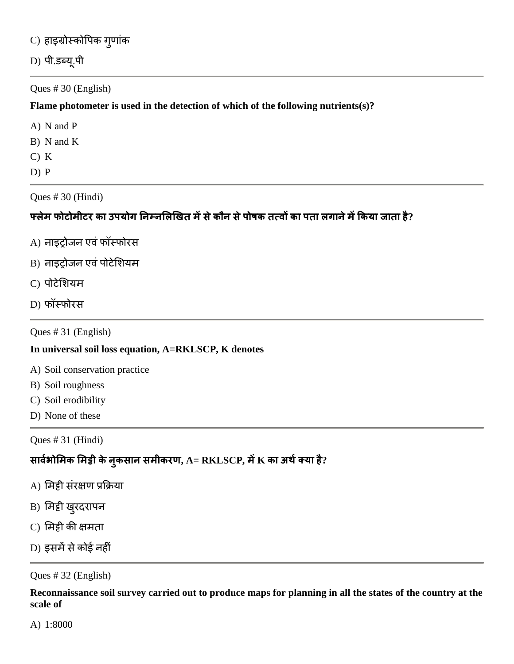C) हाइग्रोस्कोपिक ग्**णांक** 

D) पी.डब्यू.पी

Ques # 30 (English)

**Flame photometer is used in the detection of which of the following nutrients(s)?**

A) N and P

B) N and K

C) K

D) P

Ques # 30 (Hindi)

## **फ्रेभ पोटोभीटय का उऩमोग ननम्नलरखखत भेंसेकौन सेऩोषक तत्वों का ऩता रगानेभेंककमा जाता है?**

- A) नाइट्रोजन एवं फॉस्फोरस
- B) नाइट्रोजन एवं पोटेशियम
- C) पोटेशियम
- D) पॉस्पोयस

Ques # 31 (English)

#### **In universal soil loss equation, A=RKLSCP, K denotes**

- A) Soil conservation practice
- B) Soil roughness
- C) Soil erodibility
- D) None of these

Ques # 31 (Hindi)

# **सावबग ोलभक लभट्टी केनुकसान सभीकयण, A= RKLSCP, भेंK का अथगक्मा है?**

- A) मिट्टी संरक्षण प्रक्रिया
- B) मिट्टी खुरदरापन
- C) मिट्टी की क्षमता
- D) इसमें से कोई नहीं

Ques # 32 (English)

**Reconnaissance soil survey carried out to produce maps for planning in all the states of the country at the scale of**

A) 1:8000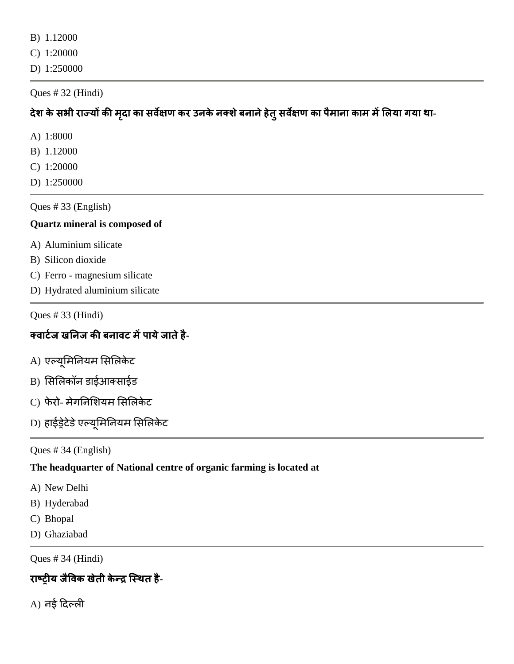B) 1.12000

C) 1:20000

D) 1:250000

Ques # 32 (Hindi)

# **देश के सबी याज्मों की भदृा का सवेऺण कय उनकेनक्शेफनानेहेतुसवेऺण का ऩैभाना काभ भेंलरमा गमा था-**

- A) 1:8000
- B) 1.12000
- C) 1:20000
- D) 1:250000

Ques # 33 (English)

### **Quartz mineral is composed of**

- A) Aluminium silicate
- B) Silicon dioxide
- C) Ferro magnesium silicate
- D) Hydrated aluminium silicate

Ques # 33 (Hindi)

# **क्वाटगज खननज की फनावट भेंऩामेजातेहै-**

- $A$ ) एल्यूमिनियम सिलिकेट
- B) सिलिकॉन डाईआक्साईड
- C) फेरो- मेगनिशियम सिलिकेट
- D) हाईड्रेटेडे एल्यूमिनियम सिलिकेट

Ques # 34 (English)

## **The headquarter of National centre of organic farming is located at**

- A) New Delhi
- B) Hyderabad
- C) Bhopal
- D) Ghaziabad

Ques # 34 (Hindi)

# **याष्ट्ीम जैषवक खेती केन्र जस्थत है-**

 $A$ ) नई दिल्ली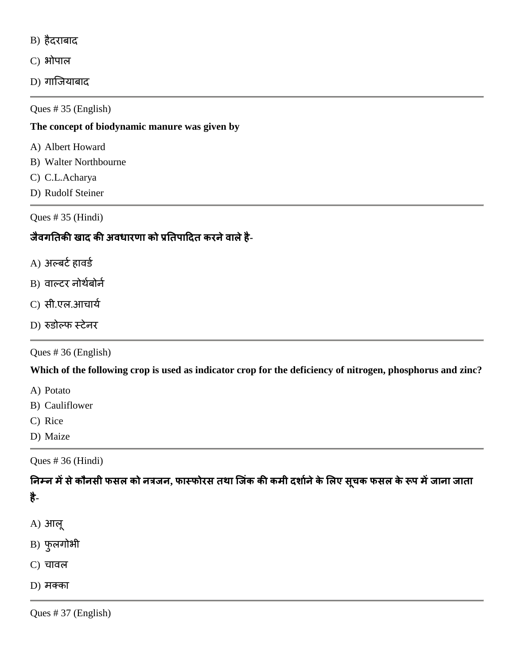- B) हैदयाफाद
- C) भोपाल
- D) गाजियाबाद

Ques # 35 (English)

#### **The concept of biodynamic manure was given by**

- A) Albert Howard
- B) Walter Northbourne
- C) C.L.Acharya
- D) Rudolf Steiner

Ques # 35 (Hindi)

## **जैवगनतकी खाद की अवधायणा को प्रनतऩाददत कयनेवारेहै-**

- $A)$  अल्बर्ट हावर्ड
- B) वाल्टर नोर्थबोर्न
- C) सी.एल.आचार्य
- D) रुडोलप स्टेनय

Ques # 36 (English)

**Which of the following crop is used as indicator crop for the deficiency of nitrogen, phosphorus and zinc?**

- A) Potato
- B) Cauliflower
- C) Rice
- D) Maize

Ques # 36 (Hindi)

**ननम्न भेंसेकौनसी पसर को नत्रजन, पास्पोयस तथा जजॊक की कभी दशागनेकेलरए सूचक पसर केरूऩ भेंजाना जाता है-**

- A) आरू
- B) पुरगोबी
- C) चावर
- D) मक्का

Ques # 37 (English)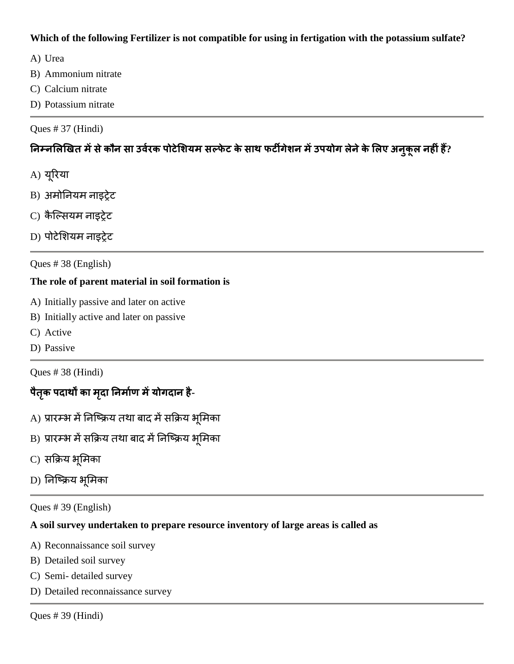### **Which of the following Fertilizer is not compatible for using in fertigation with the potassium sulfate?**

A) Urea

- B) Ammonium nitrate
- C) Calcium nitrate
- D) Potassium nitrate

Ques # 37 (Hindi)

# **ननम्नलरखखत भेंसेकौन सा उवयग क ऩोटेलशमभ सल्पेट केसाथ पटीगेशन भेंउऩमोग रेनेकेलरए अनुकूर नहीॊहैं?**

- A) यूरिया
- B) अमोनियम नाइट्रेट
- C) कैल्सियम नाइट्रेट
- D) पोटेशियम नाइट्रेट

Ques # 38 (English)

### **The role of parent material in soil formation is**

- A) Initially passive and later on active
- B) Initially active and later on passive
- C) Active
- D) Passive

Ques # 38 (Hindi)

# **ऩैतकृ ऩदाथों का भदृा ननभागण भेंमोगदान है-**

- A) प्रारम्भ में निष्क्रिय तथा बाद में सक्रिय भूमिका
- B) प्रारम्भ में सक्रिय तथा बाद में निष्क्रिय भूमिका
- C) सक्रिय भूमिका
- D) निष्क्रिय भूमिका

Ques # 39 (English)

#### **A soil survey undertaken to prepare resource inventory of large areas is called as**

- A) Reconnaissance soil survey
- B) Detailed soil survey
- C) Semi- detailed survey
- D) Detailed reconnaissance survey

Ques # 39 (Hindi)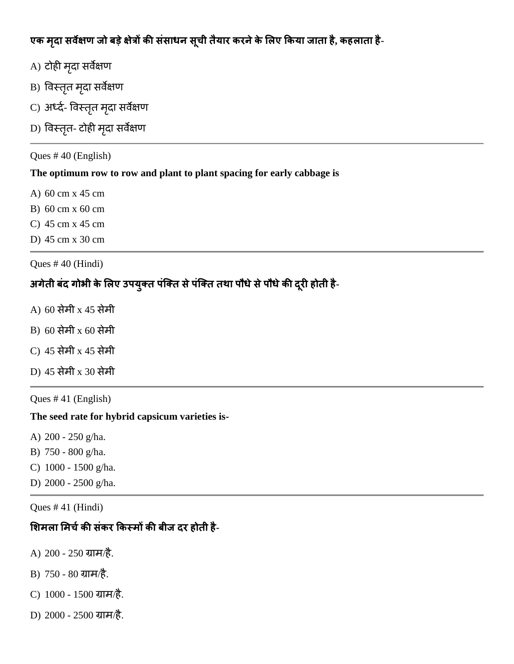# **एक भदृा सवेऺण जो फड़ेऺेत्रों की सॊसाधन सूची तैमाय कयनेकेलरए ककमा जाता है, कहराता है-**

- $A$ ) टोही मृदा सर्वेक्षण
- B) विस्तृत मृदा सर्वेक्षण
- C) अर्ध्द- विस्तृत मृदा सर्वेक्षण
- D) विस्तृत- टोही मृदा सर्वेक्षण

### Ques # 40 (English)

### **The optimum row to row and plant to plant spacing for early cabbage is**

- A) 60 cm x 45 cm
- B) 60 cm x 60 cm
- C) 45 cm x 45 cm
- D) 45 cm x 30 cm

### Ques # 40 (Hindi)

# **अगेती फॊद गोबी केलरए उऩमुक्त ऩॊजक्त सेऩॊजक्त तथा ऩौधेसेऩौधेकी दयूी होती है-**

- A) 60 सेभी x 45 सेभी
- B) 60 सेभी x 60 सेभी
- C) 45 सेभी x 45 सेभी
- D) 45 सेभी x 30 सेभी

Ques # 41 (English)

### **The seed rate for hybrid capsicum varieties is-**

- A) 200 250 g/ha.
- B) 750 800 g/ha.
- C) 1000 1500 g/ha.
- D) 2000 2500 g/ha.

Ques # 41 (Hindi)

# **लशभरा लभचगकी सॊकय ककस्भों की फीज दय होती है-**

- A) 200 250 ग्राभ/है.
- B) 750 80 ग्राभ/है.
- C) 1000 1500 ग्राभ/है.
- D) 2000 2500 ग्राभ/है.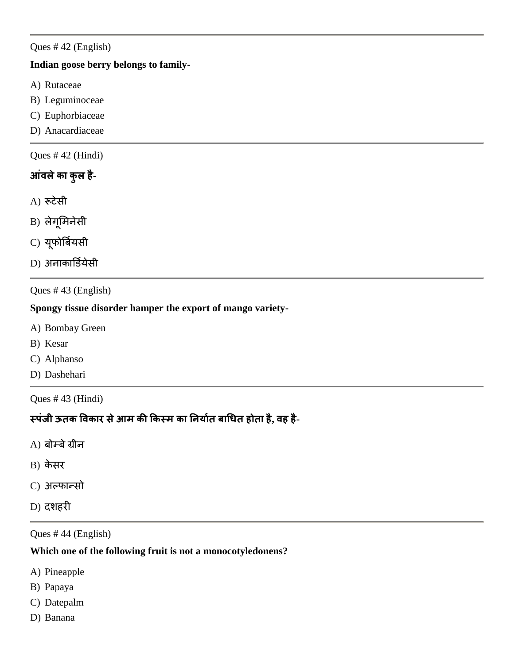### Ques # 42 (English)

### **Indian goose berry belongs to family-**

- A) Rutaceae
- B) Leguminoceae
- C) Euphorbiaceae
- D) Anacardiaceae

### Ques # 42 (Hindi)

## **आॊवरेका कुर है-**

- A) रूटेसी
- B) लेगूमिनेसी
- C) यूफोर्बियसी
- D) अनाकार्डियेसी

### Ques # 43 (English)

### **Spongy tissue disorder hamper the export of mango variety-**

- A) Bombay Green
- B) Kesar
- C) Alphanso
- D) Dashehari

Ques # 43 (Hindi)

# **स्ऩॊजी ऊतक षवकाय सेआभ की ककस्भ का ननमागत फागधत होता है, वह है-**

- $(A)$  बोम्बे ग्रीन
- B) केसर
- C) अलपान्सो
- D) दिहयी

Ques # 44 (English)

#### **Which one of the following fruit is not a monocotyledonens?**

- A) Pineapple
- B) Papaya
- C) Datepalm
- D) Banana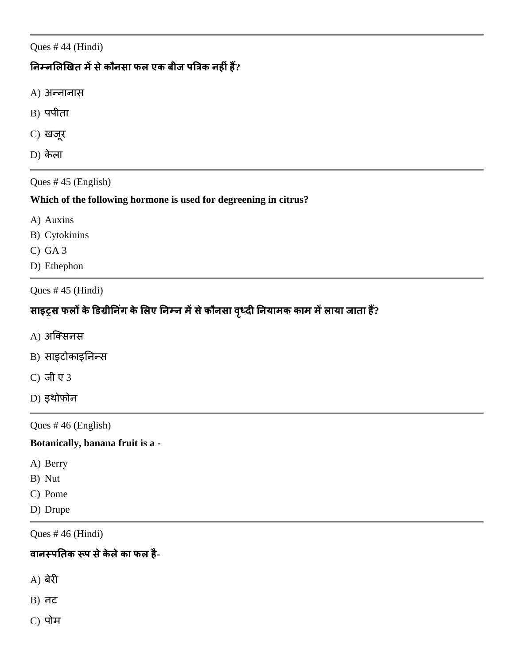Ques # 44 (Hindi)

# **ननम्नलरखखत भेंसेकौनसा पर एक फीज ऩत्रत्रक नहीॊहैं?**

- A) अन्नानास
- $B)$  पपीता
- C) खजूय
- D) केला

### Ques # 45 (English)

#### **Which of the following hormone is used for degreening in citrus?**

- A) Auxins
- B) Cytokinins
- C) GA 3
- D) Ethephon

### Ques # 45 (Hindi)

# **साइट्स परों केडडग्रीननगॊ केलरए ननम्न भेंसेकौनसा वध्ृदी ननमाभक काभ भेंरामा जाता हैं?**

- A) अजक्सनस
- B) साइटोकाइनिन्स
- C) जी ए 3
- D) इथोपोन

Ques # 46 (English)

#### **Botanically, banana fruit is a -**

- A) Berry
- B) Nut
- C) Pome
- D) Drupe

Ques # 46 (Hindi)

### **वानस्ऩनतक रूऩ सेकेरेका पर है-**

- A) फेयी
- $B)$  नट
- $C$ ) पोम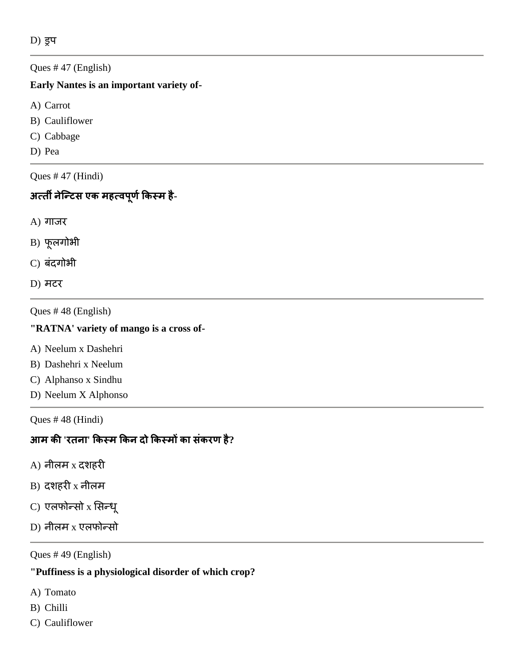Ques # 47 (English)

#### **Early Nantes is an important variety of-**

- A) Carrot
- B) Cauliflower
- C) Cabbage
- D) Pea

Ques # 47 (Hindi)

# **अत्ती नेजन्टस एक भहत्वऩूणगककस्भ है-**

- A) गाजय
- B) पूरगोबी
- C) बंदगोभी
- D) भटय

Ques # 48 (English)

### **"RATNA' variety of mango is a cross of-**

- A) Neelum x Dashehri
- B) Dashehri x Neelum
- C) Alphanso x Sindhu
- D) Neelum X Alphonso

Ques # 48 (Hindi)

## **आभ की 'यतना' ककस्भ ककन दो ककस्भों का सॊकयण है?**

- $A$ ) नीलम x दशहरी
- $B$ ) दशहरी  $x$  नीलम
- C) एलफोन्सो  $x$  सिन्ध्
- $D$ ) नीलम  $x$  एलफोन्सो

Ques # 49 (English)

### **"Puffiness is a physiological disorder of which crop?**

- A) Tomato
- B) Chilli
- C) Cauliflower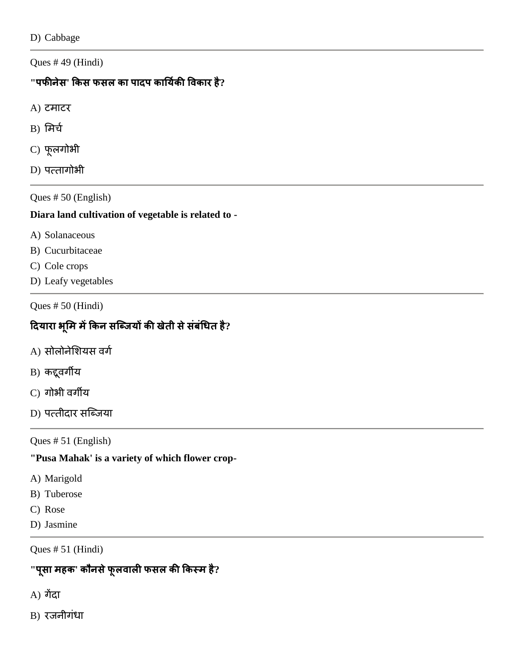```
D) Cabbage
```
Ques # 49 (Hindi)

# **"ऩपीनेस' ककस पसर का ऩादऩ कानमकग ी षवकाय है?**

- A) टभाटय
- $B)$  मिर्च
- C) पूरगोबी
- D) पत्तागोभी

Ques # 50 (English)

### **Diara land cultivation of vegetable is related to -**

- A) Solanaceous
- B) Cucurbitaceae
- C) Cole crops
- D) Leafy vegetables

Ques # 50 (Hindi)

# **ददमाया बूलभ भेंककन सजब्जमों की खेती सेसॊफॊगधत है?**

- A) सोलोनेशियस वर्ग
- $B)$  कद्दूवर्गीय
- C) गोबी वगीम
- D) पत्तीदार सब्जिया

Ques # 51 (English)

#### **"Pusa Mahak' is a variety of which flower crop-**

- A) Marigold
- B) Tuberose
- C) Rose
- D) Jasmine

Ques # 51 (Hindi)

# **"ऩूसा भहक' कौनसेपूरवारी पसर की ककस्भ है?**

- A) गेंदा
- $B)$  रजनीगंधा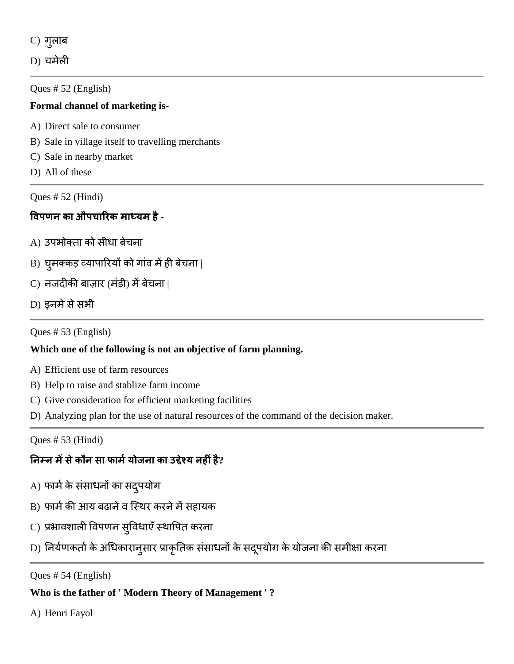C) गुराफ

D) चभेरी

Ques # 52 (English)

### **Formal channel of marketing is-**

- A) Direct sale to consumer
- B) Sale in village itself to travelling merchants
- C) Sale in nearby market
- D) All of these

Ques # 52 (Hindi)

## **षवऩणन का औऩचारयक भाध्मभ है-**

- A) उपभोक्ता को सीधा बेचना
- $B$ ) घुमक्कड़ व्यापारियों को गांव में ही बेचना |
- C) नजदीकी बाज़ार (मंडी) में बेचना |
- D) इनमे से सभी

Ques # 53 (English)

### **Which one of the following is not an objective of farm planning.**

- A) Efficient use of farm resources
- B) Help to raise and stablize farm income
- C) Give consideration for efficient marketing facilities
- D) Analyzing plan for the use of natural resources of the command of the decision maker.

Ques # 53 (Hindi)

## **ननम्न भेंसेकौन सा पाभगमोजना का उद्देश्म नहीॊहै?**

- A) फार्म के संसाधनों का सद्पयोग
- B) फार्म की आय बढाने व स्थिर करने में सहायक
- C) प्रभावशाली विपणन सुविधाएँ स्थापित करना
- D) निर्यणकर्ता के अधिकारान्**सार प्राकृतिक संसाधनों के सद्**पयोग के योजना की समीक्षा करना

Ques # 54 (English)

## **Who is the father of ' Modern Theory of Management ' ?**

A) Henri Fayol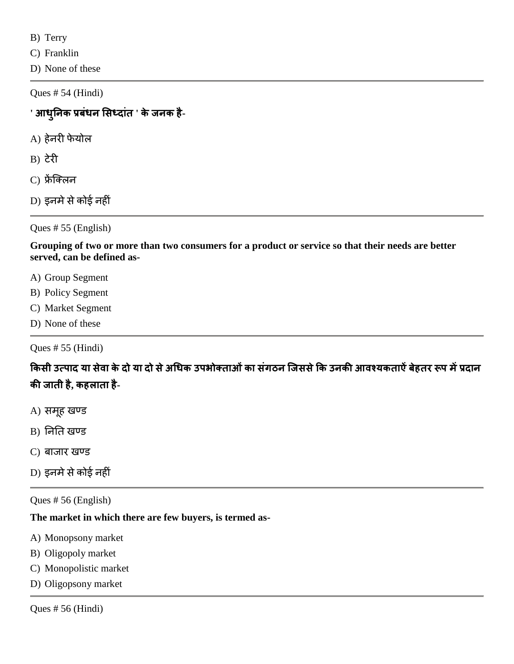B) Terry

C) Franklin

D) None of these

Ques # 54 (Hindi)

| ' आधुनिक प्रबंधन सिध्दांत ' के जनक है- |  |  |
|----------------------------------------|--|--|
|----------------------------------------|--|--|

- $A$ ) हेनरी फेयोल
- B) टेयी
- C) फ्रेंजक्रन
- D) इनमे से कोई नहीं

Ques # 55 (English)

**Grouping of two or more than two consumers for a product or service so that their needs are better served, can be defined as-**

- A) Group Segment
- B) Policy Segment
- C) Market Segment
- D) None of these

Ques # 55 (Hindi)

**ककसी उत्ऩाद मा सेवा के दो मा दो सेअगधक उऩबोक्ताओॊका सॊगठन जजससेकक उनकी आवश्मकताऐॊफेहतय रूऩ भेंप्रदान की जाती है, कहराता है-**

- A) सभूह खण्ड
- B) नननत खण्ड
- C) फाजाय खण्ड
- D) इनमे से कोई नहीं

Ques # 56 (English)

#### **The market in which there are few buyers, is termed as-**

- A) Monopsony market
- B) Oligopoly market
- C) Monopolistic market
- D) Oligopsony market

Ques # 56 (Hindi)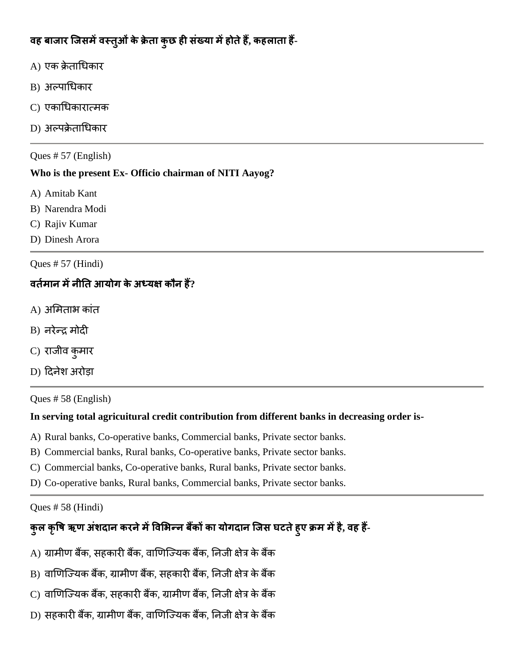# **वह फाजाय जजसभेंवस्तुओॊकेिेता कुछ ही सॊख्मा भेंहोतेहैं, कहराता हैं-**

- $A)$  एक क्रेताधिकार
- B) अल्पाधिकार
- C) एकाधिकारात्मक
- D) अल्पक्रेताधिकार

Ques # 57 (English)

### **Who is the present Ex- Officio chairman of NITI Aayog?**

- A) Amitab Kant
- B) Narendra Modi
- C) Rajiv Kumar
- D) Dinesh Arora

Ques # 57 (Hindi)

# **वतभग ान भेंनीनत आमोग केअध्मऺ कौन हैं?**

- A) अमिताभ कांत
- B) नयेन्र भोदी
- C) राजीव कुमार
- D) दिनेश अरोड़ा

Ques # 58 (English)

### **In serving total agricuitural credit contribution from different banks in decreasing order is-**

- A) Rural banks, Co-operative banks, Commercial banks, Private sector banks.
- B) Commercial banks, Rural banks, Co-operative banks, Private sector banks.
- C) Commercial banks, Co-operative banks, Rural banks, Private sector banks.
- D) Co-operative banks, Rural banks, Commercial banks, Private sector banks.

Ques # 58 (Hindi)

# **कुर कृषष ऋण अशॊ दान कयनेभेंषवलबन्न फकैं ों का मोगदान जजस घटतेहुए िभ भेंहै, वह हैं-**

- A) ग्रामीण बैंक, सहकारी बैंक, वाणिज्यिक बैंक, निजी क्षेत्र के बैंक
- B) वाणिज्यिक बैंक, ग्रामीण बैंक, सहकारी बैंक, निजी क्षेत्र के बैंक
- C) वाणिज्यिक बैंक, सहकारी बैंक, ग्रामीण बैंक, निजी क्षेत्र के बैंक
- D) सहकारी बैंक, ग्रामीण बैंक, वाणिज्यिक बैंक, निजी क्षेत्र के बैंक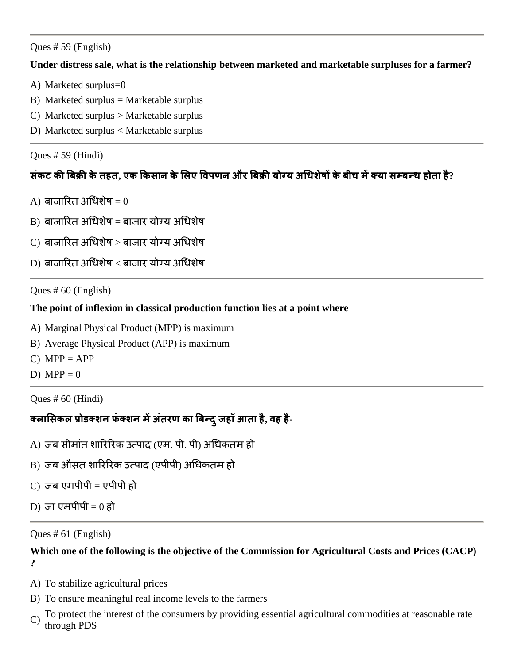Ques # 59 (English)

### **Under distress sale, what is the relationship between marketed and marketable surpluses for a farmer?**

- A) Marketed surplus=0
- B) Marketed surplus = Marketable surplus
- C) Marketed surplus > Marketable surplus
- D) Marketed surplus < Marketable surplus

### Ques # 59 (Hindi)

# संकट की बिक्री के तहत, एक किसान के लिए विपणन और बिक्री योग्य अधिशेषों के बीच में क्या सम्बन्ध होता है?

- A) बाजारित अधिशेष  $= 0$
- $B$ ) बाजारित अधिशेष = बाजार योग्य अधिशेष
- C) बाजारित अधिशेष > बाजार योग्य अधिशेष
- D) बाजारित अधिशेष < बाजार योग्य अधिशेष

### Ques # 60 (English)

### **The point of inflexion in classical production function lies at a point where**

- A) Marginal Physical Product (MPP) is maximum
- B) Average Physical Product (APP) is maximum
- $C)$  MPP = APP
- D) MPP  $= 0$

Ques # 60 (Hindi)

## **क्रालसकर प्रोडक्शन पॊक्शन भेंअतॊ यण का त्रफन्दुजहाॉआता है, वह है-**

- A) जब सीमांत शारिरिक उत्पाद (एम. पी. पी) अधिकतम हो
- B) जब औसत शारिरिक उत्पाद (एपीपी) अधिकतम हो
- C) जब एमपीपी = एपीपी हो
- D) जा एमपीपी  $= 0$  हो

Ques # 61 (English)

### **Which one of the following is the objective of the Commission for Agricultural Costs and Prices (CACP) ?**

- A) To stabilize agricultural prices
- B) To ensure meaningful real income levels to the farmers
- C) To protect the interest of the consumers by providing essential agricultural commodities at reasonable rate through PDS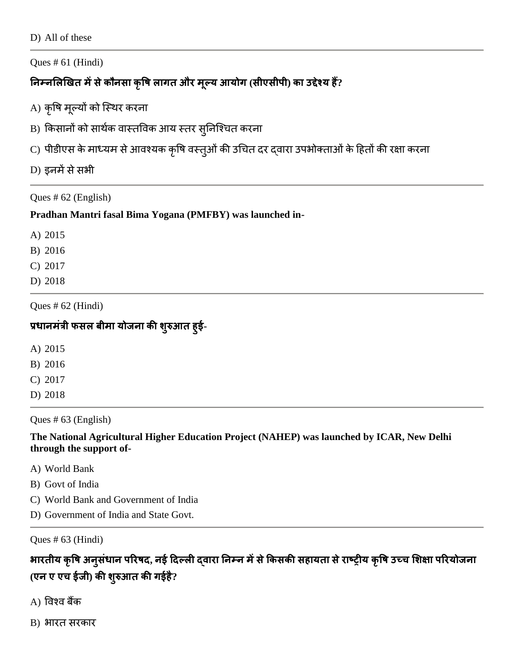D) All of these

Ques # 61 (Hindi)

# **ननम्नलरखखत भेंसेकौनसा कृषष रागत औय भूल्म आमोग (सीएसीऩी) का उद्देश्म हैं?**

A) कृषि मूल्यों को स्थिर करना

- B) किसानों को सार्थक वास्तविक आय स्तर सुनिश्चित करना
- C) पीडीएस के माध्यम से आवश्यक कृषि वस्तुओं की उचित दर द्वारा उपभोक्ताओं के हितों की रक्षा करना
- D) इनमें से सभी

Ques # 62 (English)

### **Pradhan Mantri fasal Bima Yogana (PMFBY) was launched in-**

- A) 2015
- B) 2016
- C) 2017
- D) 2018

Ques # 62 (Hindi)

# **प्रधानभॊत्री पसर फीभा मोजना की शुरुआत हुई-**

A) 2015

B) 2016

C) 2017

D) 2018

Ques # 63 (English)

**The National Agricultural Higher Education Project (NAHEP) was launched by ICAR, New Delhi through the support of-**

- A) World Bank
- B) Govt of India
- C) World Bank and Government of India
- D) Government of India and State Govt.

Ques # 63 (Hindi)

# **बायतीम कृषष अनुसॊधान ऩरयषद, नई ददल्री द्वाया ननम्न भेंसेककसकी सहामता सेयाष्ट्ीम कृषष उच्च लशऺा ऩरयमोजना (एन ए एच ईजी) की शुरुआत की गईहै?**

- $(A)$  विश्व बैंक
- B) भारत सरकार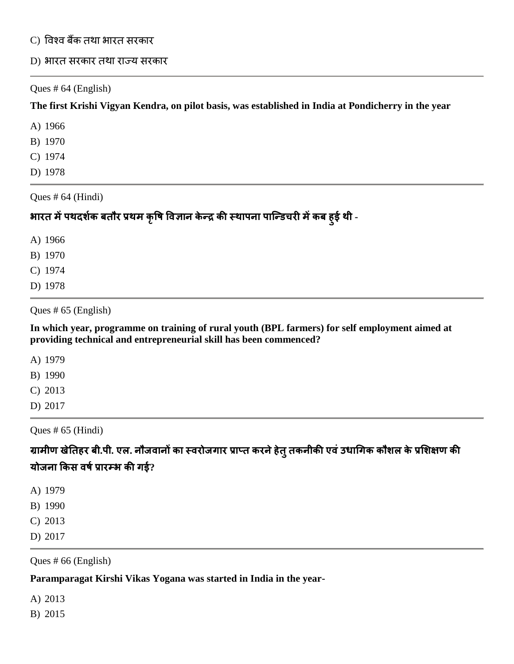### C) विश्व बैंक तथा भारत सरकार

D) भारत सरकार तथा राज्य सरकार

Ques # 64 (English)

**The first Krishi Vigyan Kendra, on pilot basis, was established in India at Pondicherry in the year**

A) 1966

B) 1970

C) 1974

D) 1978

Ques # 64 (Hindi)

**बायत भेंऩथदशकग फतौय प्रथभ कृषष षवऻान केन्र की स्थाऩना ऩाजन्डचयी भेंकफ हुई थी -**

A) 1966

B) 1970

C) 1974

D) 1978

Ques # 65 (English)

**In which year, programme on training of rural youth (BPL farmers) for self employment aimed at providing technical and entrepreneurial skill has been commenced?**

A) 1979

B) 1990

C) 2013

D) 2017

Ques # 65 (Hindi)

ग्रामीण खेतिहर बी.पी. एल. नौजवानों का स्वरोजगार प्राप्त करने हेतु तकनीकी एवं उधागिक कौशल के प्रशिक्षण की **मोजना ककस वषगप्रायम्ब की गई?**

A) 1979

B) 1990

C) 2013

D) 2017

Ques # 66 (English)

**Paramparagat Kirshi Vikas Yogana was started in India in the year-**

A) 2013

B) 2015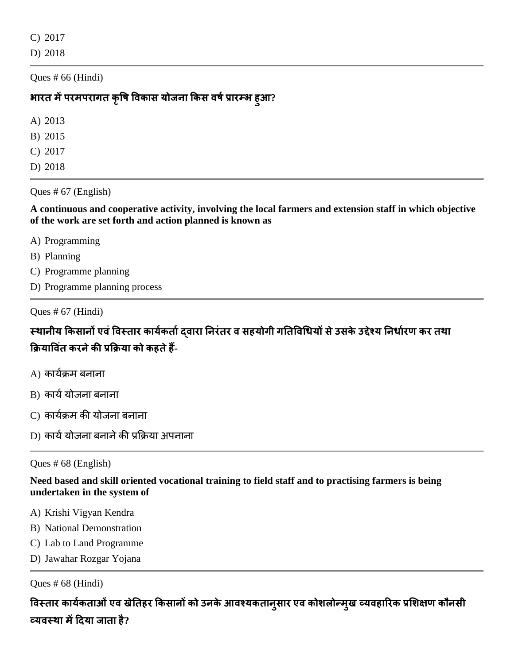C) 2017 D) 2018

Ques # 66 (Hindi)

### **बायत भेंऩयभऩयागत कृषष षवकास मोजना ककस वषगप्रायम्ब हुआ?**

A) 2013

B) 2015 C) 2017

D) 2018

Ques # 67 (English)

**A continuous and cooperative activity, involving the local farmers and extension staff in which objective of the work are set forth and action planned is known as**

- A) Programming
- B) Planning
- C) Programme planning
- D) Programme planning process

Ques # 67 (Hindi)

# **स्थानीम ककसानों एवॊषवस्ताय कामकग तागद्वाया ननयॊतय व सहमोगी गनतषवगधमों सेउसके उद्देश्म ननधागयण कय तथा किमाषवतॊ कयनेकी प्रकिमा को कहतेहैं-**

- A) कार्यक्रम बनाना
- $\bf B$ ) कार्य योजना बनाना
- C) कार्यक्रम की योजना बनाना
- D) कार्य योजना बनाने की प्रक्रिया अपनाना

Ques # 68 (English)

**Need based and skill oriented vocational training to field staff and to practising farmers is being undertaken in the system of**

- A) Krishi Vigyan Kendra
- B) National Demonstration
- C) Lab to Land Programme
- D) Jawahar Rozgar Yojana

Ques # 68 (Hindi)

**षवस्ताय कामकग ताओॊएव खेनतहय ककसानों को उनकेआवश्मकतानुसाय एव कोशरोन्भुख व्मवहारयक प्रलशऺण कौनसी व्मवस्था भेंददमा जाता है?**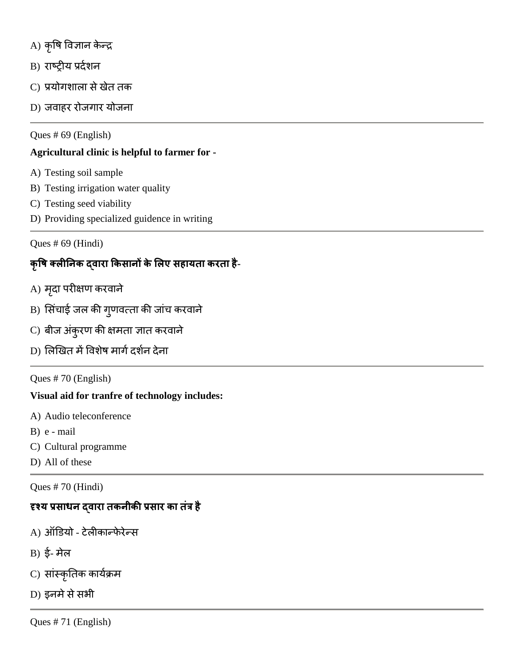- A) कृषि विज्ञान केन्द्र
- B) राष्ट्रीय प्रर्दशन
- C) प्रयोगशाला से खेत तक
- D) जवाहय योजगाय मोजना

Ques # 69 (English)

# **Agricultural clinic is helpful to farmer for -**

- A) Testing soil sample
- B) Testing irrigation water quality
- C) Testing seed viability
- D) Providing specialized guidence in writing

Ques # 69 (Hindi)

# **कृषष क्रीननक द्वाया ककसानों केलरए सहामता कयता है-**

- A) मृदा परीक्षण करवाने
- B) सिंचाई जल की गुणवत्ता की जांच करवाने
- C) बीज अंकुरण की क्षमता ज्ञात करवाने
- D) लिखित में विशेष मार्ग दर्शन देना
- Ques # 70 (English)

# **Visual aid for tranfre of technology includes:**

- A) Audio teleconference
- B) e mail
- C) Cultural programme
- D) All of these

Ques # 70 (Hindi)

# **दृश्म प्रसाधन द्वाया तकनीकी प्रसाय का तॊत्र है**

- A) ऑडडमो टेरीिान्पेयेन्स
- B) ई- भेर
- C) सांस्कृतिक कार्यक्रम
- D) इनमे से सभी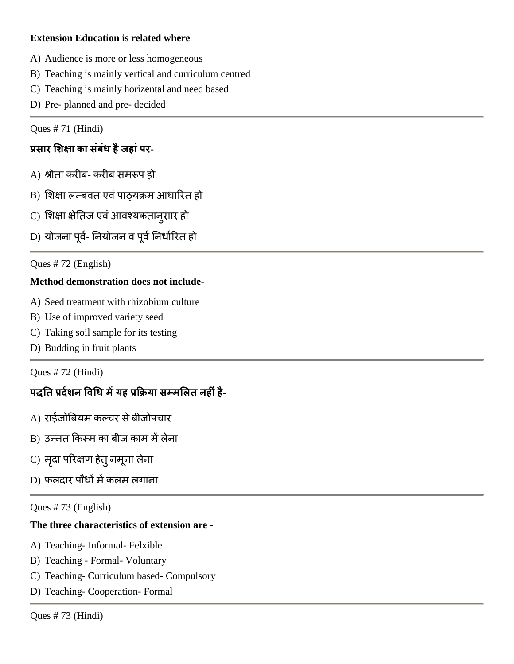#### **Extension Education is related where**

- A) Audience is more or less homogeneous
- B) Teaching is mainly vertical and curriculum centred
- C) Teaching is mainly horizental and need based
- D) Pre- planned and pre- decided

Ques # 71 (Hindi)

### **प्रसाय लशऺा का सॊफॊध हैजहाॊऩय-**

- A) श्रोता करीब- करीब समरूप हो
- B) शिक्षा लम्बवत एवं पाठ्यक्रम आधारित हो
- C) शिक्षा क्षेतिज एवं आवश्यकतानुसार हो
- D) योजना पूर्व- नियोजन व पूर्व निर्धारित हो

### Ques # 72 (English)

### **Method demonstration does not include-**

- A) Seed treatment with rhizobium culture
- B) Use of improved variety seed
- C) Taking soil sample for its testing
- D) Budding in fruit plants

Ques # 72 (Hindi)

# **ऩद्धनत प्रदगशन षवगध भेंमह प्रकिमा सम्भलरत नहीॊहै-**

- A) राईजोबियम कल्चर से बीजोपचार
- B) उन्नत किस्म का बीज काम में लेना
- C) मृदा परिक्षण हेतु नमूना लेना
- D) फलदार पौधों में कलम लगाना

Ques # 73 (English)

#### **The three characteristics of extension are -**

- A) Teaching- Informal- Felxible
- B) Teaching Formal- Voluntary
- C) Teaching- Curriculum based- Compulsory
- D) Teaching- Cooperation- Formal

Ques # 73 (Hindi)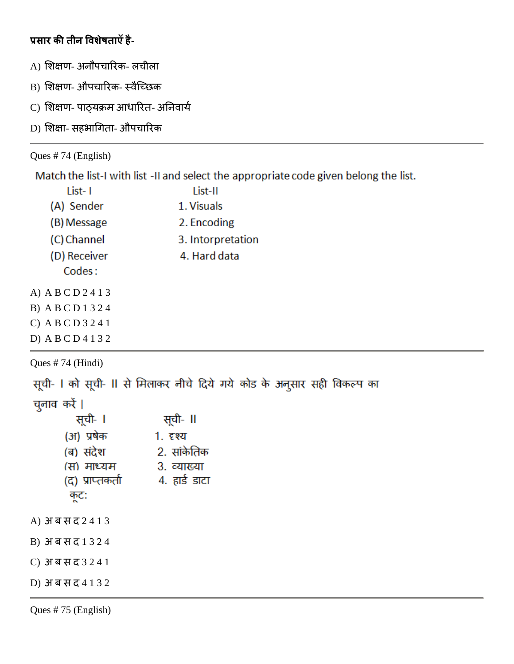# **प्रसाय की तीन षवशषे ताऍ है-**

- A) शिक्षण- अनौपचारिक- लचीला
- B) शिक्षण- औपचारिक- स्वैच्छिक
- C) शिक्षण- पाठ्यक्रम आधारित- अनिवार्य
- D) शिक्षा- सहभागिता- औपचारिक

#### Ques # 74 (English)

Match the list-I with list -II and select the appropriate code given belong the list.

| List-1              | List-II           |
|---------------------|-------------------|
| (A) Sender          | 1. Visuals        |
| (B) Message         | 2. Encoding       |
| (C) Channel         | 3. Intorpretation |
| (D) Receiver        | 4. Hard data      |
| Codes:              |                   |
| A) A B C D 2 4 1 3  |                   |
| <b>B</b> ) ABCD1324 |                   |
| $C)$ ABCD3241       |                   |
| D) A B C D 4 1 3 2  |                   |

```
Ques # 74 (Hindi)
```

```
सूची- I को सूची- II से मिलाकर नीचे दिये गये कोड के अनुसार सही विकल्प का
चुनाव करें |
         सूची- ।
                          सूची- ॥
      (अ) प्रषेक
                       1. दृश्य
      (ब) संदेश
                        2. सांकेतिक
      (स) माध्यम
                         3. व्याख्या
      (द) प्राप्तकर्ता 4. हार्ड डाटा
        कूट:
A) अबसद2413
B) अबसद1324
C) अ फ स द 3 2 4 1
D) अबसद4132
```
Ques # 75 (English)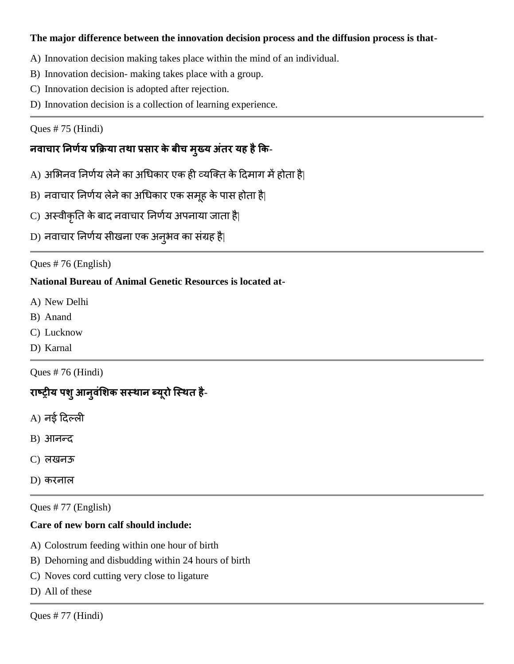#### **The major difference between the innovation decision process and the diffusion process is that-**

- A) Innovation decision making takes place within the mind of an individual.
- B) Innovation decision- making takes place with a group.
- C) Innovation decision is adopted after rejection.
- D) Innovation decision is a collection of learning experience.

Ques # 75 (Hindi)

### **नवाचाय ननणमग प्रकिमा तथा प्रसाय केफीच भुख्म अतॊ य मह हैकक-**

- A) अभिनव निर्णय लेने का अधिकार एक ही व्यक्ति के दिमाग में होता है|
- B) नवाचार निर्णय लेने का अधिकार एक समूह के पास होता है|
- C) अस्वीकृति के बाद नवाचार निर्णय अपनाया जाता है|
- D) नवाचार निर्णय सीखना एक अन्**भव का संग्रह है**|

#### Ques # 76 (English)

#### **National Bureau of Animal Genetic Resources is located at-**

- A) New Delhi
- B) Anand
- C) Lucknow
- D) Karnal

Ques # 76 (Hindi)

### **याष्ट्ीम ऩशुआनुवॊलशक सस्थान ब्मूयो जस्थत है-**

- $A$ ) नई दिल्ली
- B) आनन्द
- C) रखनऊ
- D) करनाल

Ques # 77 (English)

#### **Care of new born calf should include:**

- A) Colostrum feeding within one hour of birth
- B) Dehorning and disbudding within 24 hours of birth
- C) Noves cord cutting very close to ligature
- D) All of these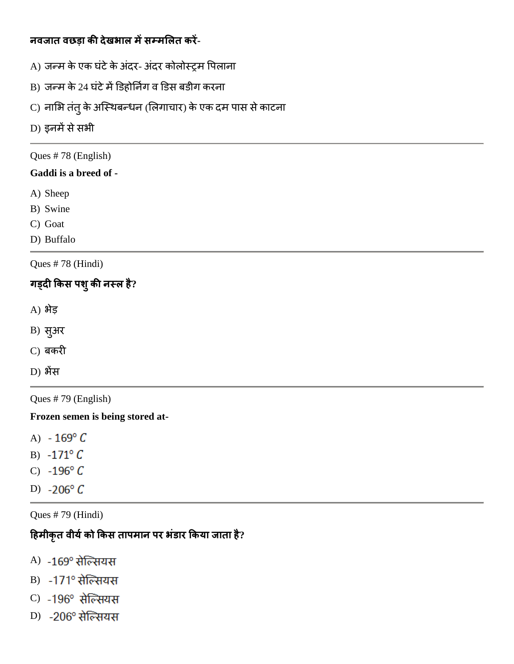# **नवजात वछड़ा की देखबार भेंसम्भलरत कयें-**

- A) जन्म के एक घंटे के अंदर- अंदर कोलोस्ट्रम पिलाना
- B) जन्म के 24 घंटे में डिहोर्निग व डिस बडीग करना
- C) नाभि तंतु के अस्थिबन्धन (लिगाचार) के एक दम पास से काटना
- D) इनमें से सभी

Ques # 78 (English)

### **Gaddi is a breed of -**

- A) Sheep
- B) Swine
- C) Goat
- D) Buffalo

Ques # 78 (Hindi)

# **गड्दी ककस ऩशुकी नस्र है?**

- A) बेड़
- B) सुअय
- $C$ ) बकरी
- D) बेंस

Ques # 79 (English)

**Frozen semen is being stored at-**

- A)  $-169^{\circ} C$
- B)  $-171^{\circ} C$
- C)  $-196^{\circ} C$
- D)  $-206^{\circ} C$

Ques # 79 (Hindi)

# **दहभीकृत वीमगको ककस ताऩभान ऩय बॊडाय ककमा जाता है?**

- A) -169° सेल्सियस
- **B)** -171° सेल्सियस
- C) -196° सेल्सियस
- D) -206° सेल्सियस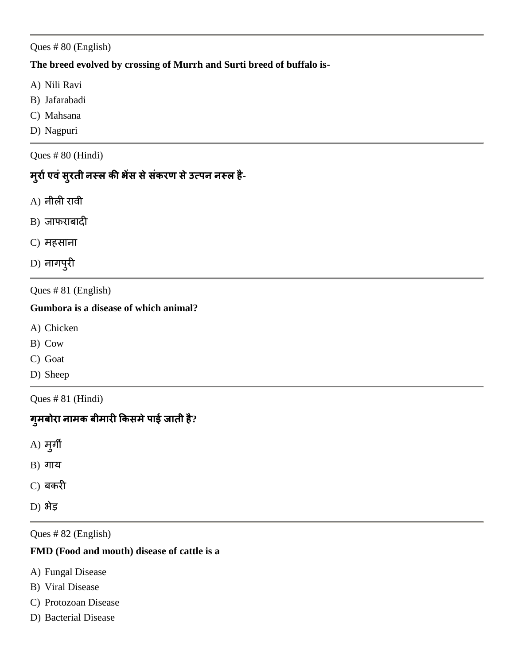#### Ques # 80 (English)

### **The breed evolved by crossing of Murrh and Surti breed of buffalo is-**

- A) Nili Ravi
- B) Jafarabadi
- C) Mahsana
- D) Nagpuri

Ques # 80 (Hindi)

# **भुयागएवॊसुयती नस्र की बेंस सेसॊकयण सेउत्ऩन नस्र है-**

- A) नीरी यावी
- B) जाफराबादी
- C) भहसाना
- D) नागप्**री**

Ques # 81 (English)

### **Gumbora is a disease of which animal?**

- A) Chicken
- B) Cow
- C) Goat
- D) Sheep

Ques # 81 (Hindi)

# **गुभफोया नाभक फीभायी ककसभेऩाई जाती है?**

- A) भुगी
- $B)$  गाय
- $C$ ) बकरी
- D) बेड़

Ques # 82 (English)

#### **FMD (Food and mouth) disease of cattle is a**

- A) Fungal Disease
- B) Viral Disease
- C) Protozoan Disease
- D) Bacterial Disease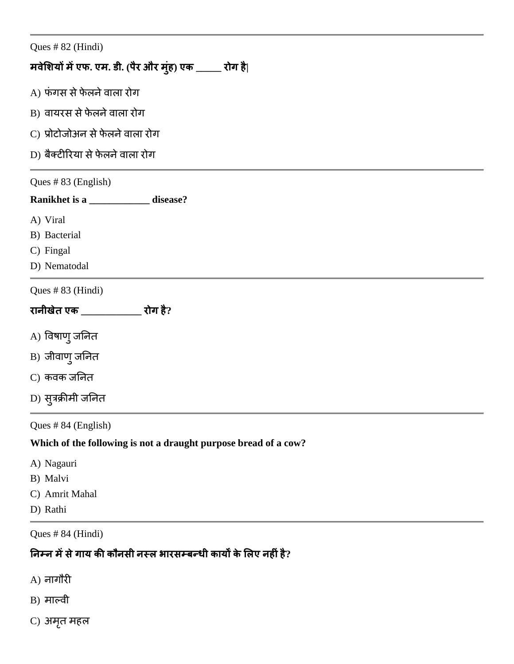| Ques # 82 (Hindi)                                      |  |                                                                |  |  |  |
|--------------------------------------------------------|--|----------------------------------------------------------------|--|--|--|
| मवेशियों में एफ. एम. डी. (पैर और मुंह) एक _____ रोग है |  |                                                                |  |  |  |
| A) फंगस से फेलने वाला रोग                              |  |                                                                |  |  |  |
| B) वायरस से फेलने वाला रोग                             |  |                                                                |  |  |  |
| C) प्रोटोजोअन से फेलने वाला रोग                        |  |                                                                |  |  |  |
| D) बैक्टीरिया से फेलने वाला रोग                        |  |                                                                |  |  |  |
| Ques #83 (English)                                     |  |                                                                |  |  |  |
| Ranikhet is a _____________ disease?                   |  |                                                                |  |  |  |
| A) Viral                                               |  |                                                                |  |  |  |
| B) Bacterial                                           |  |                                                                |  |  |  |
| C) Fingal                                              |  |                                                                |  |  |  |
| D) Nematodal                                           |  |                                                                |  |  |  |
| Ques # 83 (Hindi)                                      |  |                                                                |  |  |  |
| रानीखेत एक _____________ रोग है?                       |  |                                                                |  |  |  |
| A) विषाणु जनित                                         |  |                                                                |  |  |  |
| B) जीवाणु जनित                                         |  |                                                                |  |  |  |
| C) कवक जनित                                            |  |                                                                |  |  |  |
| D) सुत्रक्रीमी जनित                                    |  |                                                                |  |  |  |
| Ques # 84 (English)                                    |  |                                                                |  |  |  |
|                                                        |  | Which of the following is not a drampht number huged of a semp |  |  |  |

**Which of the following is not a draught purpose bread of a cow?**

- A) Nagauri
- B) Malvi
- C) Amrit Mahal
- D) Rathi

Ques # 84 (Hindi)

# **ननम्न भेंसेगाम की कौनसी नस्र बायसम्फन्धी कामों केलरए नहीॊहै?**

- A) नागौयी
- B) भालवी
- C) अमृत महल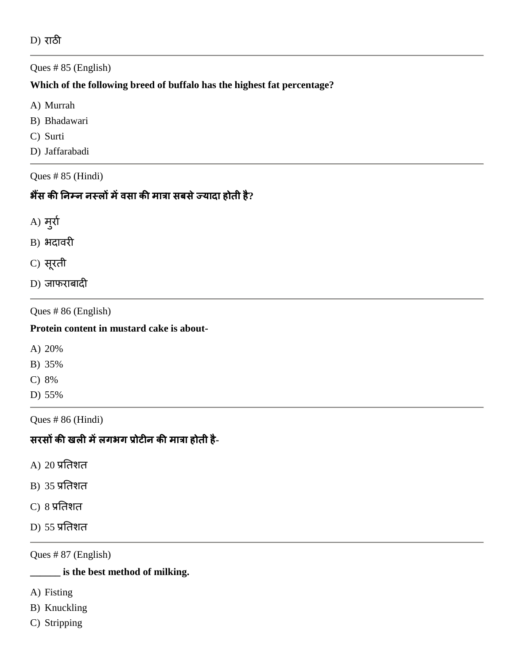```
D) याठी
```
Ques # 85 (English)

### **Which of the following breed of buffalo has the highest fat percentage?**

- A) Murrah
- B) Bhadawari
- C) Surti
- D) Jaffarabadi

Ques # 85 (Hindi)

# **बसैं की ननम्न नस्रों भेंवसा की भात्रा सफसेज्मादा होती है?**

- $A$ ) मुर्रा
- B) बदावयी
- C) सूयती
- D) जाफराबादी

Ques # 86 (English)

### **Protein content in mustard cake is about-**

- A) 20%
- B) 35%
- C) 8%
- D) 55%

Ques # 86 (Hindi)

### **सयसों की खरी भेंरगबग प्रोटीन की भात्रा होती है-**

- $A)$  20 प्रतिशत
- $B)$  35 प्रतिशत
- C) 8 प्रनतित
- D) 55 प्रनतित

Ques # 87 (English)

### **\_\_\_\_\_\_ is the best method of milking.**

- A) Fisting
- B) Knuckling
- C) Stripping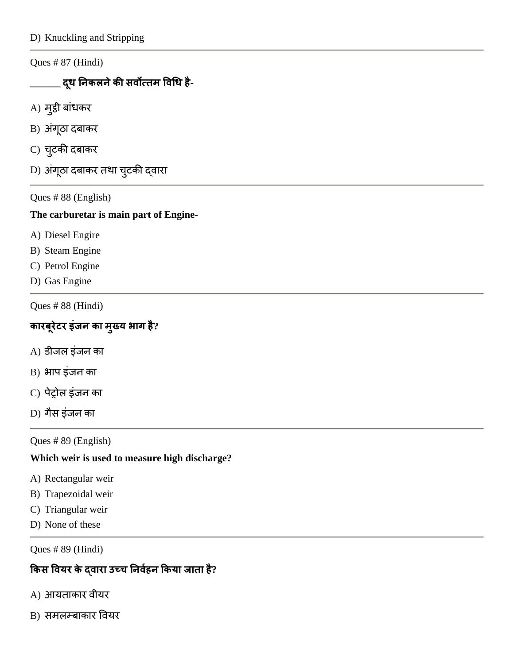Ques # 87 (Hindi)

**\_\_\_\_\_\_ दधू ननकरनेकी सवोत्तभ षवगध है-**

- $A$ ) मुट्ठी बांधकर
- B) अंगूठा दबाकर
- C) चुटकी दबाकर
- D) अंगूठा दबाकर तथा चुटकी द्वारा

Ques # 88 (English)

### **The carburetar is main part of Engine-**

- A) Diesel Engire
- B) Steam Engine
- C) Petrol Engine
- D) Gas Engine

Ques # 88 (Hindi)

# **कायफूयेटय इॊजन का भुख्म बाग है?**

- A) डीजल इंजन का
- B) भाप इंजन का
- C) पेट्रोल इंजन का
- D) गैस इंजन का

Ques # 89 (English)

#### **Which weir is used to measure high discharge?**

- A) Rectangular weir
- B) Trapezoidal weir
- C) Triangular weir
- D) None of these

Ques # 89 (Hindi)

# **ककस षवमय के द्वाया उच्च ननवहग न ककमा जाता है?**

- A) आयताकार वीयर
- B) समलम्बाकार वियर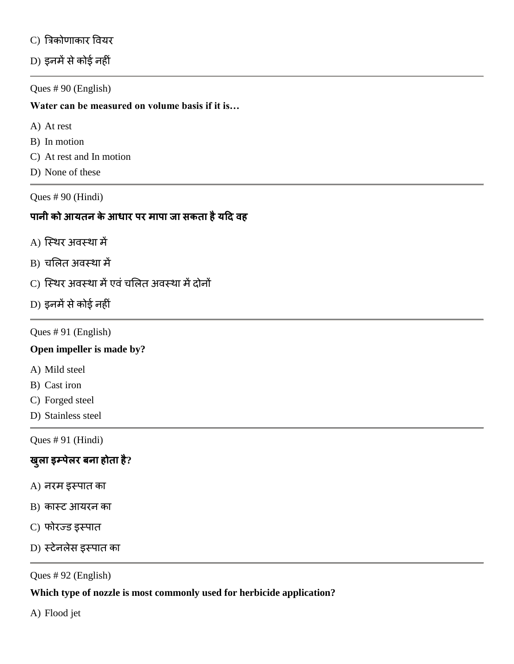C) त्रिकोणाकार वियर

D) इनमें से कोई नहीं

Ques # 90 (English)

**Water can be measured on volume basis if it is…**

- A) At rest
- B) In motion
- C) At rest and In motion
- D) None of these

Ques # 90 (Hindi)

## **ऩानी को आमतन केआधाय ऩय भाऩा जा सकता हैमदद वह**

- A) जस्थय अवस्था भें
- B) चलित अवस्था में
- C) स्थिर अवस्था में एवं चलित अवस्था में दोनों
- D) इनमें से कोई नहीं

Ques # 91 (English)

### **Open impeller is made by?**

- A) Mild steel
- B) Cast iron
- C) Forged steel
- D) Stainless steel

Ques # 91 (Hindi)

## **खरु ा इम्ऩेरय फना होता है?**

- A) नरम इस्पात का
- B) कास्ट आयरन का
- C) फोरज्ड इस्पात
- D) स्टेनलेस इस्पात का

Ques # 92 (English)

### **Which type of nozzle is most commonly used for herbicide application?**

A) Flood jet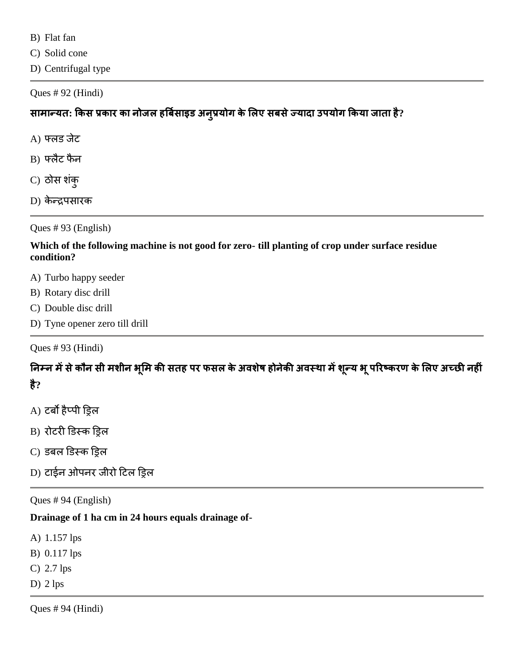B) Flat fan

C) Solid cone

D) Centrifugal type

Ques # 92 (Hindi)

# **साभान्मत: ककस प्रकाय का नोजर हत्रफसग ाइड अनुप्रमोग केलरए सफसेज्मादा उऩमोग ककमा जाता है?**

- $A)$  फ्लड जेट
- B) फ्रैट पैन
- C) ठोस शंक्
- D) केन्द्रपसारक

Ques # 93 (English)

### **Which of the following machine is not good for zero- till planting of crop under surface residue condition?**

- A) Turbo happy seeder
- B) Rotary disc drill
- C) Double disc drill
- D) Tyne opener zero till drill

Ques # 93 (Hindi)

**ननम्न भेंसेकौन सी भशीन बूलभ की सतह ऩय पसर केअवशषे होनेकी अवस्था भेंशून्म बूऩरयष्कयण केलरए अच्छी नहीॊ है?**

- $A$ ) टर्बो हैप्पी ड्रिल
- B) रोटरी डिस्क ड्रिल
- C) डबल डिस्क ड्रिल
- D) टाईन ओपनर जीरो टिल ड्रिल

Ques # 94 (English)

### **Drainage of 1 ha cm in 24 hours equals drainage of-**

- A) 1.157 lps
- B) 0.117 lps
- C) 2.7 lps
- D)  $2 \text{ lps}$

Ques # 94 (Hindi)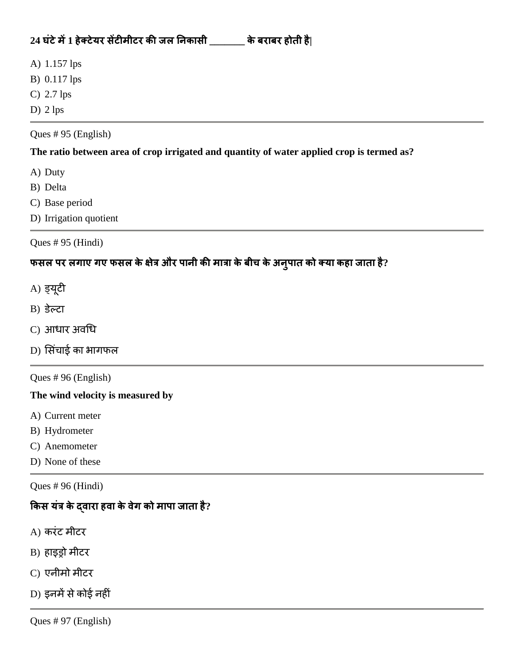# **24 घॊटेभें1 हेक्टेमय सेंटीभीटय की जर ननकासी \_\_\_\_\_\_\_ केफयाफय होती है|**

A) 1.157 lps

B) 0.117 lps

C) 2.7 lps

D) 2 lps

Ques # 95 (English)

**The ratio between area of crop irrigated and quantity of water applied crop is termed as?**

A) Duty

B) Delta

C) Base period

D) Irrigation quotient

Ques # 95 (Hindi)

# **पसर ऩय रगाए गए पसर केऺेत्र औय ऩानी की भात्रा केफीच केअनुऩात को क्मा कहा जाता है?**

A) ड्मूटी

 $B)$  डेल्टा

- C) आधाय अवचध
- D) सिंचाई का भागफल

Ques # 96 (English)

### **The wind velocity is measured by**

- A) Current meter
- B) Hydrometer
- C) Anemometer
- D) None of these

Ques # 96 (Hindi)

## **ककस मॊत्र केद्वाया हवा केवेग को भाऩा जाता है?**

- A) करंट मीटर
- B) हाइड्रो भीटय
- C) एनीभो भीटय
- D) इनमें से कोई नहीं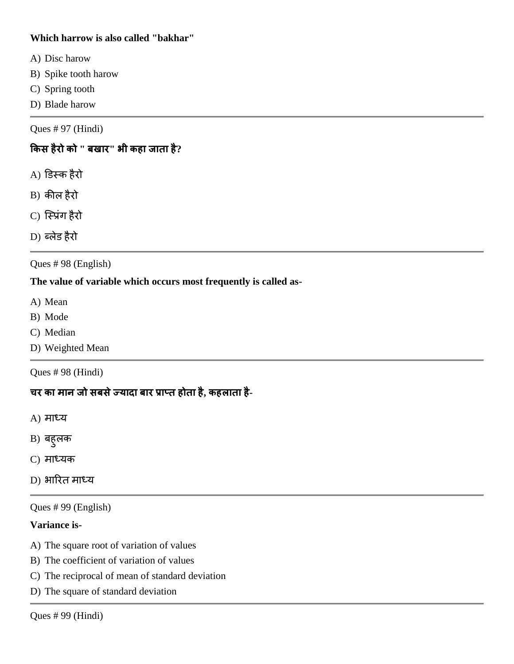### **Which harrow is also called "bakhar"**

- A) Disc harow
- B) Spike tooth harow
- C) Spring tooth
- D) Blade harow

Ques # 97 (Hindi)

## **ककस हैयो को " फखाय" बी कहा जाता है?**

- A) डिस्क हैरो
- B) कील हैरो
- C) स्प्रिंग हैरो
- D) ब्रेड हैयो

Ques # 98 (English)

### **The value of variable which occurs most frequently is called as-**

- A) Mean
- B) Mode
- C) Median
- D) Weighted Mean

Ques # 98 (Hindi)

**चय का भान जो सफसेज्मादा फाय प्राप्त होता है, कहराता है-**

- A) भाध्म
- B) बहुलक
- C) भाध्मि
- D) भारित माध्य

Ques # 99 (English)

#### **Variance is-**

- A) The square root of variation of values
- B) The coefficient of variation of values
- C) The reciprocal of mean of standard deviation
- D) The square of standard deviation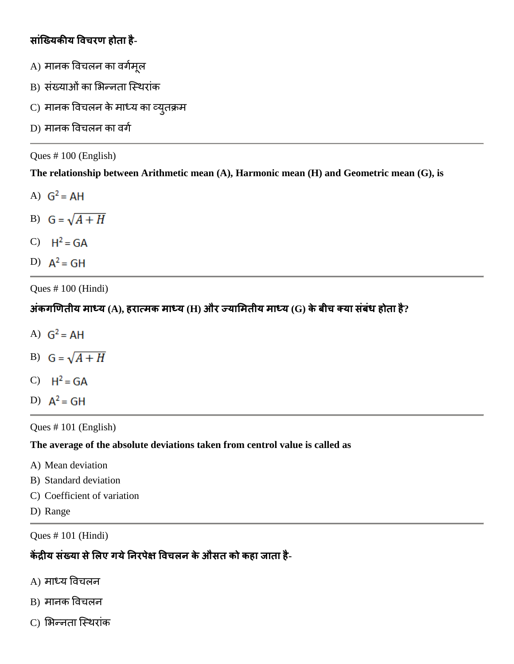# **साॊजख्मकीम षवचयण होता है-**

- $A$ ) मानक विचलन का वर्गमूल
- B) संख्याओं का भिन्नता स्थिरांक
- C) मानक विचलन के माध्य का व्युतक्रम
- D) मानक विचलन का वर्ग

Ques # 100 (English)

**The relationship between Arithmetic mean (A), Harmonic mean (H) and Geometric mean (G), is**

- A)  $G^2 = AH$
- B)  $G = \sqrt{A + H}$
- C)  $H^2 = GA$
- D)  $A^2 = GH$

Ques # 100 (Hindi)

**अकॊ गखणतीम भाध्म (A), हयात्भक भाध्म (H) औय ज्मालभतीम भाध्म (G) केफीच क्मा सॊफॊध होता है?**

- A)  $G^2 = AH$
- B)  $G = \sqrt{A + H}$
- C)  $H^2 = G \Delta$
- D)  $A^2 = GH$

Ques # 101 (English)

### **The average of the absolute deviations taken from centrol value is called as**

- A) Mean deviation
- B) Standard deviation
- C) Coefficient of variation
- D) Range

Ques # 101 (Hindi)

## **केंरीम सॊख्मा सेलरए गमेननयऩेऺ षवचरन केऔसत को कहा जाता है-**

- A) भाध्म ववचरन
- B) मानक विचलन
- C) भिन्नता स्थिरांक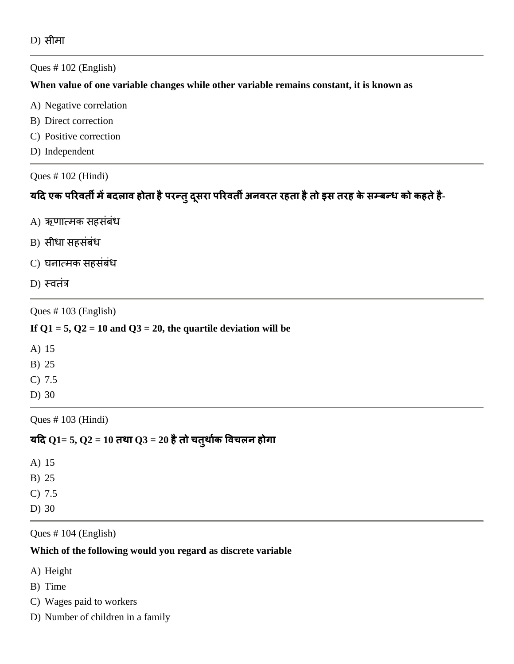```
D) सीभा
```
Ques # 102 (English)

#### **When value of one variable changes while other variable remains constant, it is known as**

- A) Negative correlation
- B) Direct correction
- C) Positive correction
- D) Independent

Ques # 102 (Hindi)

# **मदद एक ऩरयवती भेंफदराव होता हैऩयन्तुदसू या ऩरयवती अनवयत यहता हैतो इस तयह केसम्फन्ध को कहतेहै-**

- $A$ ) ऋणात्मक सहसंबंध
- B) सीधा सहसंबंध
- C) घनात्मक सहसंबंध
- D) स्वतंत्र

Ques # 103 (English)

If  $Q1 = 5$ ,  $Q2 = 10$  and  $Q3 = 20$ , the quartile deviation will be

A) 15 B) 25 C) 7.5 D) 30

Ques # 103 (Hindi)

# **मदद Q1= 5, Q2 = 10 तथा Q3 = 20 हैतो चतुथागक षवचरन होगा**

A) 15 B) 25 C) 7.5 D) 30

Ques # 104 (English)

### **Which of the following would you regard as discrete variable**

A) Height

B) Time

- C) Wages paid to workers
- D) Number of children in a family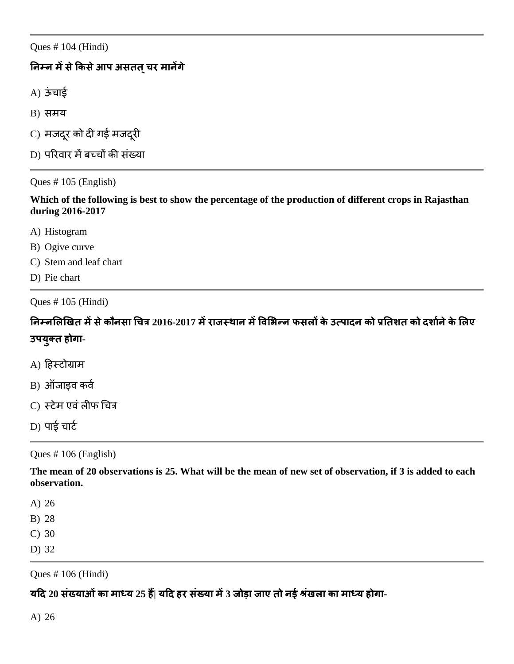Ques # 104 (Hindi)

# **ननम्न भेंसेककसेआऩ असतत्चय भानेंगे**

- $A)$   $\overline{\mathbf{3}}$ चाई
- B) सभम
- C) मजदूर को दी गई मजदूरी
- D) परिवार में बच्चों की संख्या

Ques # 105 (English)

**Which of the following is best to show the percentage of the production of different crops in Rajasthan during 2016-2017**

- A) Histogram
- B) Ogive curve
- C) Stem and leaf chart
- D) Pie chart

Ques # 105 (Hindi)

# **ननम्नलरखखत भेंसेकौनसा गचत्र 2016-2017 भेंयाजस्थान भेंषवलबन्न पसरों केउत्ऩादन को प्रनतशत को दशागनेकेलरए उऩमुक्त होगा-**

- A) टहस्टोग्राभ
- B) ऑजाइव कर्व
- C) स्टेम एवं लीफ चित्र
- $D)$  पाई चार्ट

Ques # 106 (English)

**The mean of 20 observations is 25. What will be the mean of new set of observation, if 3 is added to each observation.**

A) 26

- B) 28
- C) 30
- D) 32

Ques # 106 (Hindi)

यदि 20 संख्याओं का माध्य 25 हैं| यदि हर संख्या में 3 जोड़ा जाए तो नई श्रंखला का माध्य होगा-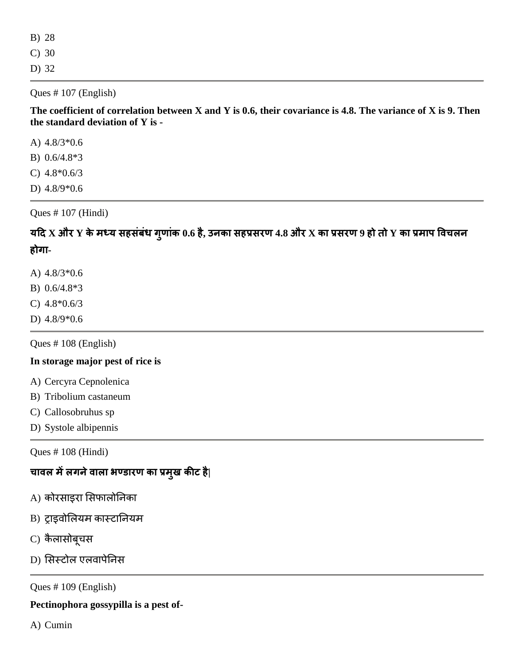| <b>B</b> ) 28 |  |
|---------------|--|
| $C)$ 30       |  |
| D) 32         |  |

Ques # 107 (English)

**The coefficient of correlation between X and Y is 0.6, their covariance is 4.8. The variance of X is 9. Then the standard deviation of Y is -**

A) 4.8/3\*0.6

B) 0.6/4.8\*3

C) 4.8\*0.6/3

D) 4.8/9\*0.6

Ques # 107 (Hindi)

यदि X और Y के मध्य सहसंबंध गुणांक 0.6 है, उनका सहप्रसरण 4.8 और X का प्रसरण 9 हो तो Y का प्रमाप विचलन **होगा-**

- A) 4.8/3\*0.6
- B) 0.6/4.8\*3
- C) 4.8\*0.6/3
- D) 4.8/9\*0.6

Ques # 108 (English)

#### **In storage major pest of rice is**

- A) Cercyra Cepnolenica
- B) Tribolium castaneum
- C) Callosobruhus sp
- D) Systole albipennis

Ques # 108 (Hindi)

# **चावर भेंरगनेवारा बण्डायण का प्रभुख कीट है|**

- A) कोरसाइरा सिफालोनिका
- B) ट्राइवोलियम कास्टानियम
- C) कैलासोबूचस
- D) सिस्टोल एलवापेनिस

Ques # 109 (English)

**Pectinophora gossypilla is a pest of-**

A) Cumin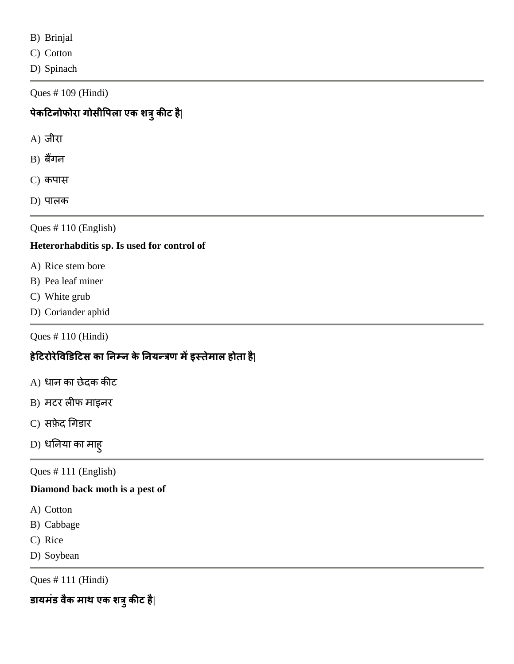B) Brinjal

C) Cotton

D) Spinach

Ques # 109 (Hindi)

**ऩेकदटनोपोया गोसीषऩरा एक शत्रुकीट है|**

A) जीया

 $B)$  बैंगन

C) कपास

D) पालक

Ques # 110 (English)

### **Heterorhabditis sp. Is used for control of**

- A) Rice stem bore
- B) Pea leaf miner
- C) White grub
- D) Coriander aphid

Ques # 110 (Hindi)

# **हेदटयोयेषवडडदटस का ननम्न केननमन्त्रण भेंइस्तेभार होता है|**

- A) धान का छेदक कीट
- B) मटर लीफ माइनर
- C) सफ़ेद चगडाय
- D) धनिया का माह्

Ques # 111 (English)

#### **Diamond back moth is a pest of**

- A) Cotton
- B) Cabbage
- C) Rice
- D) Soybean

Ques # 111 (Hindi)

**डामभॊड वैक भाथ एक शत्रुकीट है|**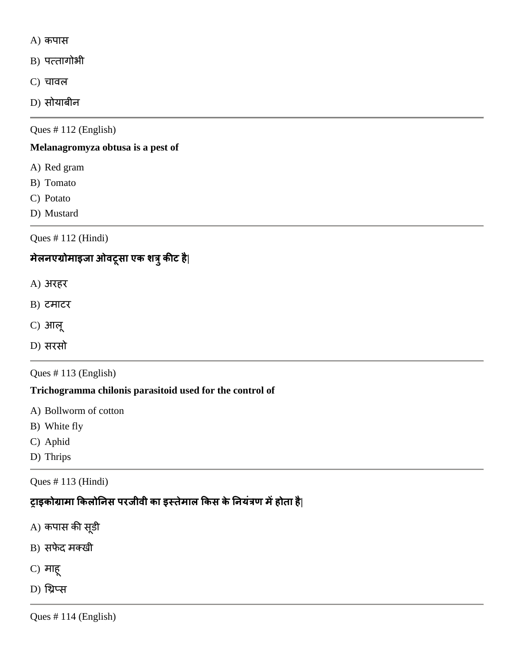- $A)$  कपास
- B) पत्तागोभी
- C) चावर
- D) सोमाफीन

Ques # 112 (English)

### **Melanagromyza obtusa is a pest of**

- A) Red gram
- B) Tomato
- C) Potato
- D) Mustard

Ques # 112 (Hindi)

# **भेरनएग्रोभाइजा ओवटूसा एक शत्रुकीट है|**

- A) अयहय
- B) टभाटय
- C) आरू
- D) सयसो

Ques # 113 (English)

#### **Trichogramma chilonis parasitoid used for the control of**

- A) Bollworm of cotton
- B) White fly
- C) Aphid
- D) Thrips

Ques # 113 (Hindi)

# **ट्ाइकोग्राभा ककरोननस ऩयजीवी का इस्तेभार ककस केननमॊत्रण भेंहोता है|**

- A) कपास की सूडी
- B) सपेद भक्खी
- C) भाहू
- D) चिप्स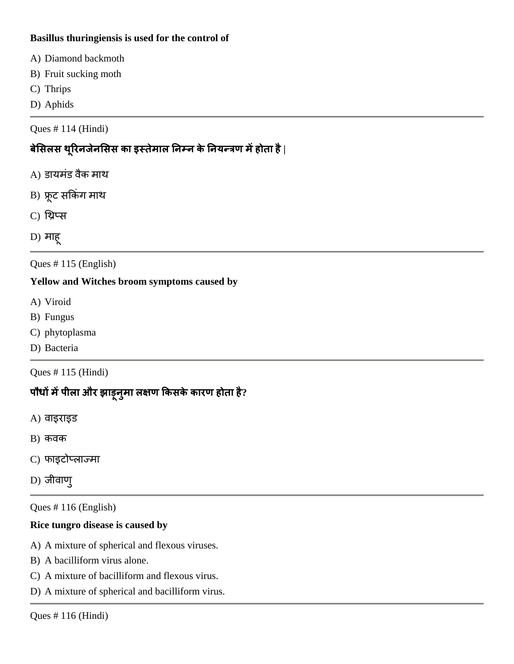### **Basillus thuringiensis is used for the control of**

- A) Diamond backmoth
- B) Fruit sucking moth
- C) Thrips
- D) Aphids

Ques # 114 (Hindi)

# **फेलसरस थरूयनजेनलसस का इस्तेभार ननम्न केननमन्त्रण भेंहोता है|**

- $A$ ) डायमंड वैक माथ
- B) फ्रूट सकिंग माथ
- C) चिप्स
- D) भाहू

Ques # 115 (English)

### **Yellow and Witches broom symptoms caused by**

- A) Viroid
- B) Fungus
- C) phytoplasma
- D) Bacteria

Ques # 115 (Hindi)

# **ऩौधों भेंऩीरा औय झाड़ूनुभा रऺण ककसकेकायण होता है?**

- A) वाइयाइड
- $B)$  कवक
- C) पाइटोप्राज्भा
- D) जीवाणु

Ques # 116 (English)

### **Rice tungro disease is caused by**

- A) A mixture of spherical and flexous viruses.
- B) A bacilliform virus alone.
- C) A mixture of bacilliform and flexous virus.
- D) A mixture of spherical and bacilliform virus.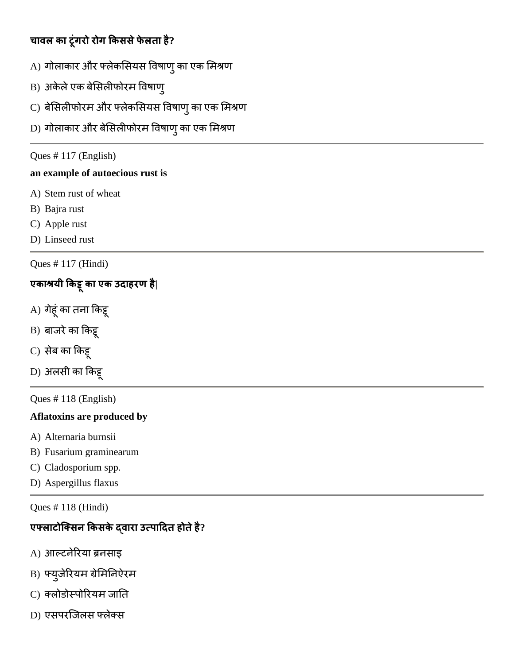# **चावर का टूॊगयो योग ककससेपेरता है?**

- A) गोलाकार और फ्लेकसियस विषाणु का एक मिश्रण
- B) अकेले एक बेसिलीफोरम विषाण्
- C) बेसिलीफोरम और फ्लेकसियस विषाणु का एक मिश्रण
- D) गोलाकार और बेसिलीफोरम विषाण् का एक मिश्रण

Ques # 117 (English)

### **an example of autoecious rust is**

- A) Stem rust of wheat
- B) Bajra rust
- C) Apple rust
- D) Linseed rust

Ques # 117 (Hindi)

# **एकाश्रमी ककट्टूका एक उदाहयण है|**

- $\left( \mathrm{A}\right)$  गेहूं का तना किट्टू
- B) बाजरे का किट्टू
- C) सेब का किट्ट्
- D) अलसी का किट्टू

Ques # 118 (English)

#### **Aflatoxins are produced by**

- A) Alternaria burnsii
- B) Fusarium graminearum
- C) Cladosporium spp.
- D) Aspergillus flaxus

Ques # 118 (Hindi)

# **एफ्राटोजक्सन ककसके द्वाया उत्ऩाददत होतेहै?**

- A) आल्टनेरिया ब्रनसाइ
- B) फ्यूजेरियम ग्रेमिनिऐरम
- C) क्लोडोस्पोरियम जाति
- D) एसपरजिलस फ्लेक्स